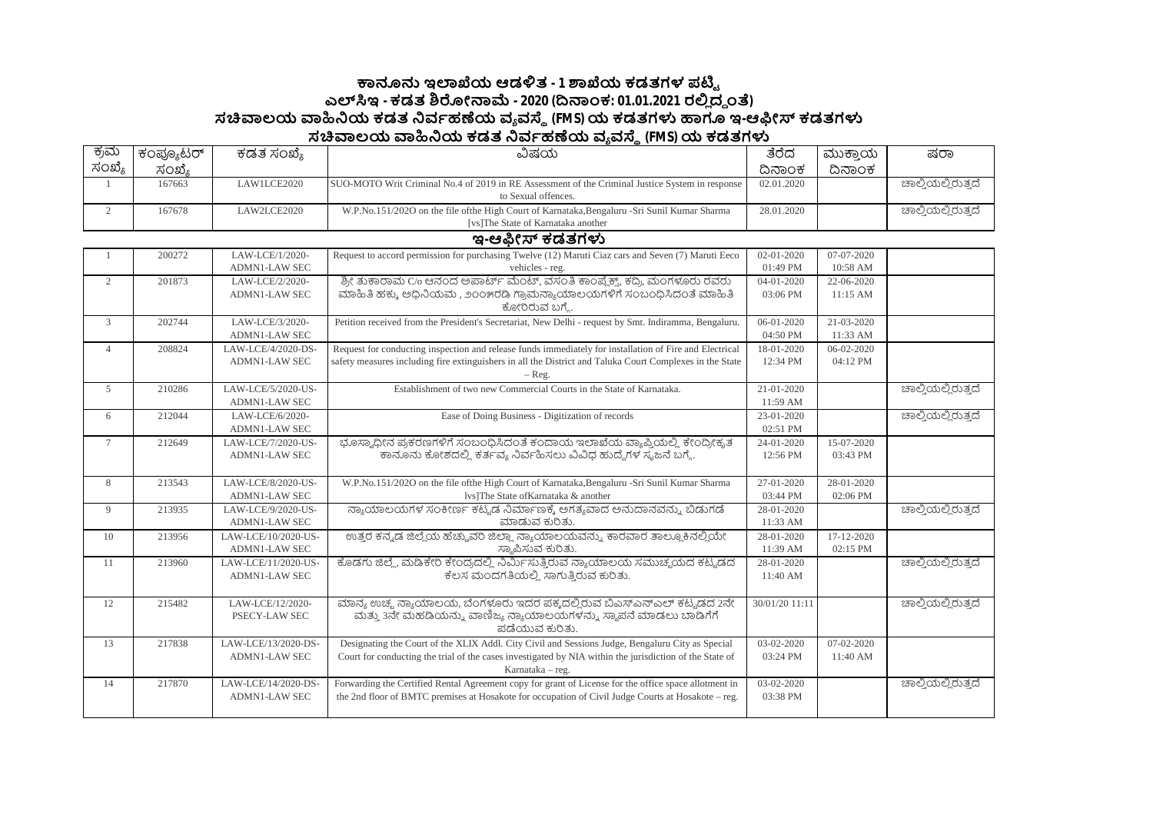## **౽ඞඝ ಇมಒಯ ಆಡัತ - 1 ๎ಒಯ ಕಡತಗಳ ಪഔౣ ಎฯ ಇ - ಕಡತ ๏ฌೕක෫ - 2020 (ൽකಂಕ: 01.01.2021 ರย ದ౪ ಂ) ಸ฿ಲಯ ฿ඛಯ ಕಡತ ඛವბಹൕಯ ವ ವ౩ (FMS)ಯ ಕಡತಗำ ಟಇ-ಆඹೕ ಕಡತಗำ ಸ฿ಲಯ ฿ඛಯ ಕಡತ ඛವბಹൕಯ ವ ವ౩ (FMS)ಯ ಕಡತಗำ**

| ಕ್ರಮ           | ಕಂಪ್ಯೂಟರ್ | ಕಡತ ಸಂಖ್ಯೆ                              | ವಿಷಯ                                                                                                                                 | ತೆರೆದ            | ಮುಕ್ತಾಯ                | ಷರಾ                |
|----------------|-----------|-----------------------------------------|--------------------------------------------------------------------------------------------------------------------------------------|------------------|------------------------|--------------------|
| ಸಂಖ್ಯೆ         | ಸಂಖ್ಯೆ    |                                         |                                                                                                                                      | ದಿನಾಂಕ           | ದಿನಾಂಕ                 |                    |
|                | 167663    | LAW1LCE2020                             | SUO-MOTO Writ Criminal No.4 of 2019 in RE Assessment of the Criminal Justice System in response<br>to Sexual offences.               | 02.01.2020       |                        | ಚಾಲ್ತಿಯಲ್ಲಿರುತ್ತದೆ |
| $\overline{2}$ | 167678    | LAW2LCE2020                             | W.P.No.151/2020 on the file of the High Court of Karnataka, Bengaluru - Sri Sunil Kumar Sharma<br>[vs]The State of Karnataka another | 28.01.2020       |                        | ಚಾಲ್ತಿಯಲ್ಲಿರುತ್ತದೆ |
|                |           |                                         | ಇ-ಆಫೀಸ್ ಕಡತಗಳು                                                                                                                       |                  |                        |                    |
|                |           |                                         |                                                                                                                                      | $02 - 01 - 2020$ |                        |                    |
|                | 200272    | LAW-LCE/1/2020-<br><b>ADMN1-LAW SEC</b> | Request to accord permission for purchasing Twelve (12) Maruti Ciaz cars and Seven (7) Maruti Eeco                                   | 01:49 PM         | 07-07-2020<br>10:58 AM |                    |
|                | 201873    | LAW-LCE/2/2020-                         | vehicles - reg.<br>ಶ್ರೀ ತುಕಾರಾಮ C/0 ಆನಂದ ಅಪಾರ್ಟ್ ಮೆಂಟ್, ವಸಂತಿ ಕಾಂಪ್ಲೆಕ್ಸ್, ಕದ್ರಿ, ಮಂಗಳೂರು ರವರು                                       | $04 - 01 - 2020$ | $22 - 06 - 2020$       |                    |
| $\overline{2}$ |           | <b>ADMN1-LAW SEC</b>                    | ಮಾಹಿತಿ ಹಕ್ಕು ಅಧಿನಿಯಮ , ೨೦೦೫ರಡಿ ಗ್ರಾಮನ್ಯಾಯಾಲಯಗಳಿಗೆ ಸಂಬಂಧಿಸಿದಂತೆ ಮಾಹಿತಿ                                                                | 03:06 PM         | 11:15 AM               |                    |
|                |           |                                         | ಕೋರಿರುವ ಬಗ್ಮೆ.                                                                                                                       |                  |                        |                    |
| $\mathfrak{Z}$ | 202744    | LAW-LCE/3/2020-                         | Petition received from the President's Secretariat, New Delhi - request by Smt. Indiramma, Bengaluru.                                | $06 - 01 - 2020$ | 21-03-2020             |                    |
|                |           | <b>ADMN1-LAW SEC</b>                    |                                                                                                                                      | 04:50 PM         | 11:33 AM               |                    |
| $\overline{4}$ | 208824    | LAW-LCE/4/2020-DS-                      | Request for conducting inspection and release funds immediately for installation of Fire and Electrical                              | 18-01-2020       | 06-02-2020             |                    |
|                |           | <b>ADMN1-LAW SEC</b>                    | safety measures including fire extinguishers in all the District and Taluka Court Complexes in the State<br>$-$ Reg.                 | 12:34 PM         | 04:12 PM               |                    |
| 5              | 210286    | LAW-LCE/5/2020-US-                      | Establishment of two new Commercial Courts in the State of Karnataka.                                                                | 21-01-2020       |                        | ಚಾಲ್ತಿಯಲ್ಲಿರುತ್ತದೆ |
|                |           | <b>ADMN1-LAW SEC</b>                    |                                                                                                                                      | 11:59 AM         |                        |                    |
| 6              | 212044    | LAW-LCE/6/2020-                         | Ease of Doing Business - Digitization of records                                                                                     | 23-01-2020       |                        | ಚಾಲ್ತಿಯಲ್ಲಿರುತ್ತದೆ |
|                |           | <b>ADMN1-LAW SEC</b>                    |                                                                                                                                      | 02:51 PM         |                        |                    |
| $\tau$         | 212649    | LAW-LCE/7/2020-US-                      | ಭೂಸ್ಯಾದೀನ ಪ್ರಕರಣಗಳಿಗೆ ಸಂಬಂಧಿಸಿದಂತೆ ಕಂದಾಯ ಇಲಾಖೆಯ ವ್ಯಾಪ್ತಿಯಲ್ಲಿ, ಕೇಂದ್ರೀಕೃತ                                                            | 24-01-2020       | 15-07-2020             |                    |
|                |           | <b>ADMN1-LAW SEC</b>                    | .<br>ಕಾನೂನು ಕೋಶದಲ್ಲಿ ಕರ್ತವ್ಯ ನಿರ್ವಹಿಸಲು ವಿವಿಧ ಹುದ್ದೆಗಳ ಸೃಜನೆ ಬಗ್ಗೆ.                                                                  | 12:56 PM         | 03:43 PM               |                    |
| 8              | 213543    | LAW-LCE/8/2020-US-                      | W.P.No.151/202O on the file of the High Court of Karnataka, Bengaluru -Sri Sunil Kumar Sharma                                        | 27-01-2020       | 28-01-2020             |                    |
|                |           | <b>ADMN1-LAW SEC</b>                    | lvs]The State ofKarnataka & another                                                                                                  | 03:44 PM         | 02:06 PM               |                    |
| 9              | 213935    | LAW-LCE/9/2020-US-                      | ನ್ಯಾಯಾಲಯಗಳ ಸಂಕೀರ್ಣ ಕಟ್ಟಡ ನಿರ್ಮಾಣಕ್ಕೆ ಅಗತ್ಯವಾದ ಅನುದಾನವನ್ನು ಬಿಡುಗಡೆ                                                                    | 28-01-2020       |                        | ಚಾಲ್ತಿಯಲ್ಲಿರುತ್ತದೆ |
|                |           | <b>ADMN1-LAW SEC</b>                    | ಮಾಡುವ ಕುರಿತು.                                                                                                                        | 11:33 AM         |                        |                    |
| 10             | 213956    | LAW-LCE/10/2020-US-                     | ಉತ್ತರ ಕನ್ನಡ ಜಿಲ್ಲೆಯ ಹೆಚ್ಚುವರಿ ಜಿಲ್ಲಾ ನ್ಯಾಯಾಲಯವನ್ನು ಕಾರವಾರ ತಾಲ್ಲೂಕಿನಲ್ಲಿಯೇ                                                            | 28-01-2020       | 17-12-2020             |                    |
|                |           | <b>ADMN1-LAW SEC</b>                    | ಸ್ಮಾಪಿಸುವ ಕುರಿತು.                                                                                                                    | 11:39 AM         | 02:15 PM               |                    |
| 11             | 213960    | LAW-LCE/11/2020-US-                     | ಕೊಡಗು ಜಿಲ್ಲೆ, ಮಡಿಕೇರಿ ಕೇಂದ್ರದಲ್ಲಿ ನಿರ್ಮಿಸುತ್ತಿರುವ ನ್ಯಾಯಾಲಯ ಸಮುಚ್ಚಯದ ಕಟ್ಟಡದ                                                           | 28-01-2020       |                        | ಚಾಲ್ತಿಯಲ್ಲಿರುತ್ತದೆ |
|                |           | <b>ADMN1-LAW SEC</b>                    | ಕೆಲಸ ಮಂದಗತಿಯಲ್ಲಿ ಸಾಗುತ್ತಿರುವ ಕುರಿತು.                                                                                                 | 11:40 AM         |                        |                    |
| 12             | 215482    | LAW-LCE/12/2020-                        | ಮಾನ್ಯ ಉಚ್ಮ ನ್ಯಾಯಾಲಯ, ಬೆಂಗಳೂರು ಇದರ ಪಕ್ಕದಲ್ಲಿರುವ ಬಿಎಸ್ಎನ್ಎಲ್ ಕಟ್ಟಡದ 2ನೇ                                                                | 30/01/20 11:11   |                        | ಚಾಲ್ತಿಯಲ್ಲಿರುತ್ತದೆ |
|                |           | PSECY-LAW SEC                           | ಮತ್ತು 3ನೇ ಮಹಡಿಯನ್ನು ವಾಣಿಜ್ಯ ನ್ಯಾಯಾಲಯಗಳನ್ನು ಸ್ಥಾಪನೆ ಮಾಡಲು ಬಾಡಿಗೆಗೆ                                                                    |                  |                        |                    |
|                |           |                                         | ಪಡೆಯುವ ಕುರಿತು.                                                                                                                       |                  |                        |                    |
| 13             | 217838    | LAW-LCE/13/2020-DS-                     | Designating the Court of the XLIX Addl. City Civil and Sessions Judge, Bengaluru City as Special                                     | 03-02-2020       | 07-02-2020             |                    |
|                |           | <b>ADMN1-LAW SEC</b>                    | Court for conducting the trial of the cases investigated by NIA within the jurisdiction of the State of<br>Karnataka – reg.          | 03:24 PM         | 11:40 AM               |                    |
| 14             | 217870    | LAW-LCE/14/2020-DS-                     | Forwarding the Certified Rental Agreement copy for grant of License for the office space allotment in                                | 03-02-2020       |                        | ಚಾಲ್ಷಿಯಲ್ಲಿರುತ್ತದೆ |
|                |           | <b>ADMN1-LAW SEC</b>                    | the 2nd floor of BMTC premises at Hosakote for occupation of Civil Judge Courts at Hosakote – reg.                                   | 03:38 PM         |                        |                    |
|                |           |                                         |                                                                                                                                      |                  |                        |                    |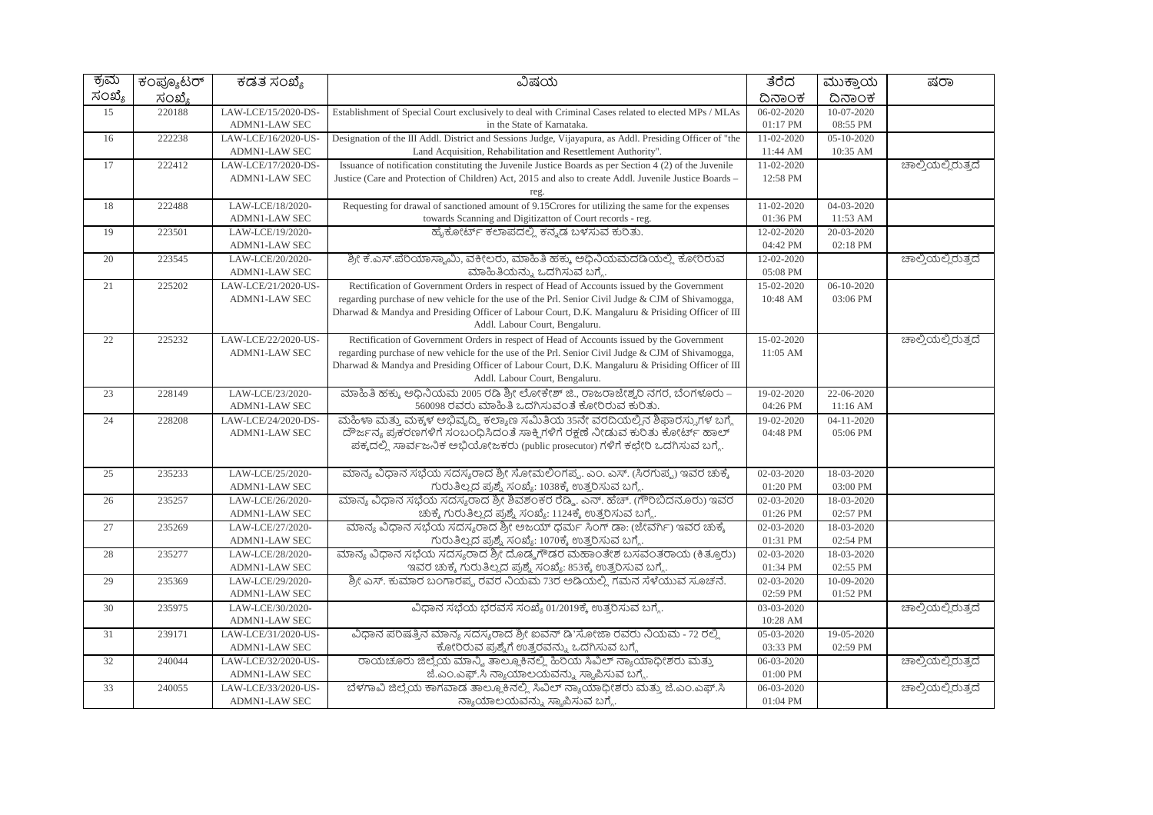| ಕ್ರಮ   | ಕಂಪ್ಯೂಟರ್ | ಕಡತ ಸಂಖ್ಯೆ           | ವಿಷಯ                                                                                                                                                                                                   | ತೆರೆದ            | ಮುಕ್ತಾಯ          | ಷರಾ                |
|--------|-----------|----------------------|--------------------------------------------------------------------------------------------------------------------------------------------------------------------------------------------------------|------------------|------------------|--------------------|
| ಸಂಖ್ಯೆ | ಸಂಖ್ಯೆ    |                      |                                                                                                                                                                                                        | ದಿನಾಂಕ           | ದಿನಾಂಕ           |                    |
| 15     | 220188    | LAW-LCE/15/2020-DS-  | Establishment of Special Court exclusively to deal with Criminal Cases related to elected MPs / MLAs                                                                                                   | 06-02-2020       | 10-07-2020       |                    |
|        |           | <b>ADMN1-LAW SEC</b> | in the State of Karnataka.                                                                                                                                                                             | 01:17 PM         | 08:55 PM         |                    |
| 16     | 222238    | LAW-LCE/16/2020-US-  | Designation of the III Addl. District and Sessions Judge, Vijayapura, as Addl. Presiding Officer of "the                                                                                               | 11-02-2020       | $05 - 10 - 2020$ |                    |
|        |           | <b>ADMN1-LAW SEC</b> | Land Acquisition, Rehabilitation and Resettlement Authority".                                                                                                                                          | 11:44 AM         | 10:35 AM         |                    |
| 17     | 222412    | LAW-LCE/17/2020-DS-  | Issuance of notification constituting the Juvenile Justice Boards as per Section 4 (2) of the Juvenile                                                                                                 | $11 - 02 - 2020$ |                  | ಚಾಲ್ತಿಯಲ್ಲಿರುತ್ತದೆ |
|        |           | <b>ADMN1-LAW SEC</b> | Justice (Care and Protection of Children) Act, 2015 and also to create Addl. Juvenile Justice Boards -                                                                                                 | 12:58 PM         |                  |                    |
|        |           |                      | reg.                                                                                                                                                                                                   |                  |                  |                    |
| 18     | 222488    | LAW-LCE/18/2020-     | Requesting for drawal of sanctioned amount of 9.15 Crores for utilizing the same for the expenses                                                                                                      | 11-02-2020       | 04-03-2020       |                    |
|        |           | <b>ADMN1-LAW SEC</b> | towards Scanning and Digitizatton of Court records - reg.                                                                                                                                              | 01:36 PM         | 11:53 AM         |                    |
| 19     | 223501    | LAW-LCE/19/2020-     | ಹೈಕೋರ್ಟ್ ಕಲಾಪದಲ್ಲಿ ಕನ್ನಡ ಬಳಸುವ ಕುರಿತು.                                                                                                                                                                 | 12-02-2020       | 20-03-2020       |                    |
|        |           | <b>ADMN1-LAW SEC</b> |                                                                                                                                                                                                        | 04:42 PM         | 02:18 PM         |                    |
| 20     | 223545    | LAW-LCE/20/2020-     | ಶ್ರೀ ಕೆ.ಎಸ್.ಪೆರಿಯಾಸ್ವಾಮಿ, ವಕೀಲರು, ಮಾಹಿತಿ ಹಕ್ಕು, ಅಧಿನಿಯಮದಡಿಯಲ್ಲಿ, ಕೋರಿರುವ                                                                                                                               | 12-02-2020       |                  | ಚಾಲ್ತಿಯಲ್ಲಿರುತ್ತದೆ |
|        |           | <b>ADMN1-LAW SEC</b> | ಮಾಹಿತಿಯನ್ನು ಒದಗಿಸುವ ಬಗ್ಗೆ.                                                                                                                                                                             | 05:08 PM         |                  |                    |
| 21     | 225202    | LAW-LCE/21/2020-US-  | Rectification of Government Orders in respect of Head of Accounts issued by the Government                                                                                                             | 15-02-2020       | 06-10-2020       |                    |
|        |           | <b>ADMN1-LAW SEC</b> | regarding purchase of new vehicle for the use of the Prl. Senior Civil Judge & CJM of Shivamogga,<br>Dharwad & Mandya and Presiding Officer of Labour Court, D.K. Mangaluru & Prisiding Officer of III | 10:48 AM         | 03:06 PM         |                    |
|        |           |                      | Addl. Labour Court, Bengaluru.                                                                                                                                                                         |                  |                  |                    |
| 22     | 225232    | LAW-LCE/22/2020-US-  | Rectification of Government Orders in respect of Head of Accounts issued by the Government                                                                                                             | 15-02-2020       |                  | ಚಾಲ್ತಿಯಲ್ಲಿರುತ್ತದೆ |
|        |           | <b>ADMN1-LAW SEC</b> | regarding purchase of new vehicle for the use of the Prl. Senior Civil Judge & CJM of Shivamogga,                                                                                                      | 11:05 AM         |                  |                    |
|        |           |                      | Dharwad & Mandya and Presiding Officer of Labour Court, D.K. Mangaluru & Prisiding Officer of III                                                                                                      |                  |                  |                    |
|        |           |                      | Addl. Labour Court, Bengaluru.                                                                                                                                                                         |                  |                  |                    |
| 23     | 228149    | LAW-LCE/23/2020-     | ಮಾಹಿತಿ ಹಕ್ಕು ಅಧಿನಿಯಮ 2005 ರಡಿ ಶ್ರೀ ಲೋಕೇಶ್ ಜಿ., ರಾಜರಾಜೇಶ್ವರಿ ನಗರ, ಬೆಂಗಳೂರು –                                                                                                                            | 19-02-2020       | 22-06-2020       |                    |
|        |           | <b>ADMN1-LAW SEC</b> | 560098 ರವರು ಮಾಹಿತಿ ಒದಗಿಸುವಂತೆ ಕೋರಿರುವ ಕುರಿತು.                                                                                                                                                          | 04:26 PM         | 11:16 AM         |                    |
| 24     | 228208    | LAW-LCE/24/2020-DS-  | ಮಹಿಳಾ ಮತ್ತು ಮಕ್ಕಳ ಅಭಿವೃದ್ಧಿ ಕಲ್ಯಾಣ ಸಮಿತಿಯ 35ನೇ ವರದಿಯಲ್ಲಿನ ಶಿಫಾರಸ್ನುಗಳ ಬಗ್ಗೆ                                                                                                                            | 19-02-2020       | 04-11-2020       |                    |
|        |           | <b>ADMN1-LAW SEC</b> | ದೌರ್ಜನ್ಯ ಪ್ರಕರಣಗಳಿಗೆ ಸಂಬಂಧಿಸಿದಂತೆ ಸಾಕ್ಷಿಗಳಿಗೆ ರಕ್ಷಣೆ ನೀಡುವ ಕುರಿತು ಕೋರ್ಟ್ ಹಾಲ್                                                                                                                          | 04:48 PM         | 05:06 PM         |                    |
|        |           |                      | ಪಕ್ಕದಲ್ಲಿ ಸಾರ್ವಜನಿಕ ಅಭಿಯೋಜಕರು (public prosecutor) ಗಳಿಗೆ ಕಛೇರಿ ಒದಗಿಸುವ ಬಗ್ಗೆ.                                                                                                                           |                  |                  |                    |
|        |           |                      |                                                                                                                                                                                                        |                  |                  |                    |
| 25     | 235233    | LAW-LCE/25/2020-     | ಮಾನ್ಯ ವಿಧಾನ ಸಭೆಯ ಸದಸ್ಯರಾದ ಶ್ರೀ ಸೋಮಲಿಂಗಪ್ಪ. ಎಂ. ಎಸ್. (ಸಿರಗುಪ್ಪ) ಇವರ ಚುಕ್ಕೆ                                                                                                                              | 02-03-2020       | 18-03-2020       |                    |
|        |           | <b>ADMN1-LAW SEC</b> | ಗುರುತಿಲ್ಲದ ಪ್ರಶ್ನೆ ಸಂಖ್ಯೆ: 1038ಕ್ಕೆ ಉತ್ತರಿಸುವ ಬಗ್ಗೆ                                                                                                                                                    | 01:20 PM         | 03:00 PM         |                    |
| 26     | 235257    | LAW-LCE/26/2020-     | ಮಾನ್ಯ ವಿಧಾನ ಸಭೆಯ ಸದಸ್ಯರಾದ ಶ್ರೀ ಶಿವಶಂಕರ ರೆಡ್ಡಿ. ಎನ್. ಹೆಚ್. (ಗೌರಿಬಿದನೂರು) ಇವರ                                                                                                                            | 02-03-2020       | 18-03-2020       |                    |
|        |           | <b>ADMN1-LAW SEC</b> | ಚುಕ್ಕೆ ಗುರುತಿಲ್ಲದ ಪ್ರಶ್ನೆ ಸಂಖ್ಯೆ: 1124ಕ್ಕೆ ಉತ್ತರಿಸುವ ಬಗ್ಗೆ                                                                                                                                             | 01:26 PM         | 02:57 PM         |                    |
| 27     | 235269    | LAW-LCE/27/2020-     | ಮಾನ್ಯ ವಿಧಾನ ಸಭೆಯ ಸದಸ್ಯರಾದ ಶ್ರೀ ಅಜಯ್ ಧರ್ಮ ಸಿಂಗ್ ಡಾ: (ಜೀವರ್ಗಿ) ಇವರ ಚುಕ್ಕೆ                                                                                                                                | 02-03-2020       | 18-03-2020       |                    |
|        |           | <b>ADMN1-LAW SEC</b> | ಗುರುತಿಲ್ಲದ ಪ್ರಶ್ನೆ ಸಂಖ್ಯೆ: 1070ಕ್ಕೆ ಉತ್ತರಿಸುವ ಬಗ್ಗೆ                                                                                                                                                    | 01:31 PM         | 02:54 PM         |                    |
| 28     | 235277    | LAW-LCE/28/2020-     | ಮಾನ್ಯ ವಿಧಾನ ಸಭೆಯ ಸದಸ್ಯರಾದ ಶ್ರೀ ದೊಡ್ಡ ಗೌಡರ ಮಹಾಂತೇಶ ಬಸವಂತರಾಯ (ಕಿತ್ತೂರು)                                                                                                                                  | 02-03-2020       | 18-03-2020       |                    |
|        |           | <b>ADMN1-LAW SEC</b> | ಇವರ ಚುಕ್ಕೆ ಗುರುತಿಲ್ಲದ ಪ್ರಶ್ನೆ ಸಂಖ್ಯೆ: 853ಕ್ಕೆ ಉತ್ತರಿಸುವ ಬಗ್ಗೆ.                                                                                                                                         | 01:34 PM         | 02:55 PM         |                    |
| 29     | 235369    | LAW-LCE/29/2020-     | ಶ್ರೀ ಎಸ್. ಕುಮಾರ ಬಂಗಾರಪ್ಪ ರವರ ನಿಯಮ 73ರ ಅಡಿಯಲ್ಲಿ ಗಮನ ಸೆಳೆಯುವ ಸೂಚನೆ.                                                                                                                                      | $02 - 03 - 2020$ | 10-09-2020       |                    |
|        |           | ADMN1-LAW SEC        |                                                                                                                                                                                                        | 02:59 PM         | 01:52 PM         |                    |
| 30     | 235975    | LAW-LCE/30/2020-     | ವಿಧಾನ ಸಭೆಯ ಭರವಸೆ ಸಂಖ್ಯೆ 01/2019ಕ್ಕೆ ಉತ್ತರಿಸುವ ಬಗ್ಗೆ.                                                                                                                                                   | 03-03-2020       |                  | ಚಾಲ್ತಿಯಲ್ಲಿರುತ್ತದೆ |
|        |           | <b>ADMN1-LAW SEC</b> |                                                                                                                                                                                                        | 10:28 AM         |                  |                    |
| 31     | 239171    | LAW-LCE/31/2020-US-  | ವಿಧಾನ ಪರಿಷತ್ತಿನ ಮಾನ್ಯ ಸದಸ್ಯರಾದ ಶ್ರೀ ಐವನ್ ಡಿ'ಸೋಜಾ ರವರು ನಿಯಮ - 72 ರಲ್ಲಿ                                                                                                                                  | 05-03-2020       | 19-05-2020       |                    |
|        |           | <b>ADMN1-LAW SEC</b> | ಕೋರಿರುವ ಪ್ರಶ್ನೆಗೆ ಉತ್ತರವನ್ನು ಒದಗಿಸುವ ಬಗ್ಗೆ                                                                                                                                                             | 03:33 PM         | 02:59 PM         |                    |
| 32     | 240044    | LAW-LCE/32/2020-US-  | ರಾಯಚೂರು ಜಿಲ್ಲೆಯ ಮಾನ್ವಿ, ತಾಲ್ಲೂಕಿನಲ್ಲಿ ಹಿರಿಯ ಸಿವಿಲ್ ನ್ಯಾಯಾಧೀಶರು ಮತ್ತು                                                                                                                                   | 06-03-2020       |                  | ಚಾಲ್ಲಿಯಲ್ಲಿರುತ್ತದೆ |
|        |           | <b>ADMN1-LAW SEC</b> | ಜೆ.ಎಂ.ಎಫ್.ಸಿ ನ್ಯಾಯಾಲಯವನ್ನು ಸ್ಮಾಪಿಸುವ ಬಗ್ಗೆ.                                                                                                                                                            | 01:00 PM         |                  |                    |
| 33     | 240055    | LAW-LCE/33/2020-US-  | ಬೆಳಗಾವಿ ಜಿಲ್ಲೆಯ ಕಾಗವಾಡ ತಾಲ್ಲೂಕಿನಲ್ಲಿ ಸಿವಿಲ್ ನ್ಯಾಯಾಧೀಶರು ಮತ್ತು ಜೆ.ಎಂ.ಎಫ್.ಸಿ                                                                                                                             | 06-03-2020       |                  | ಚಾಲ್ಕಿಯಲ್ಲಿರುತ್ತದೆ |
|        |           | <b>ADMN1-LAW SEC</b> | ನ್ಯಾಯಾಲಯವನ್ನು ಸ್ಥಾಪಿಸುವ ಬಗ್ಗೆ.                                                                                                                                                                         | 01:04 PM         |                  |                    |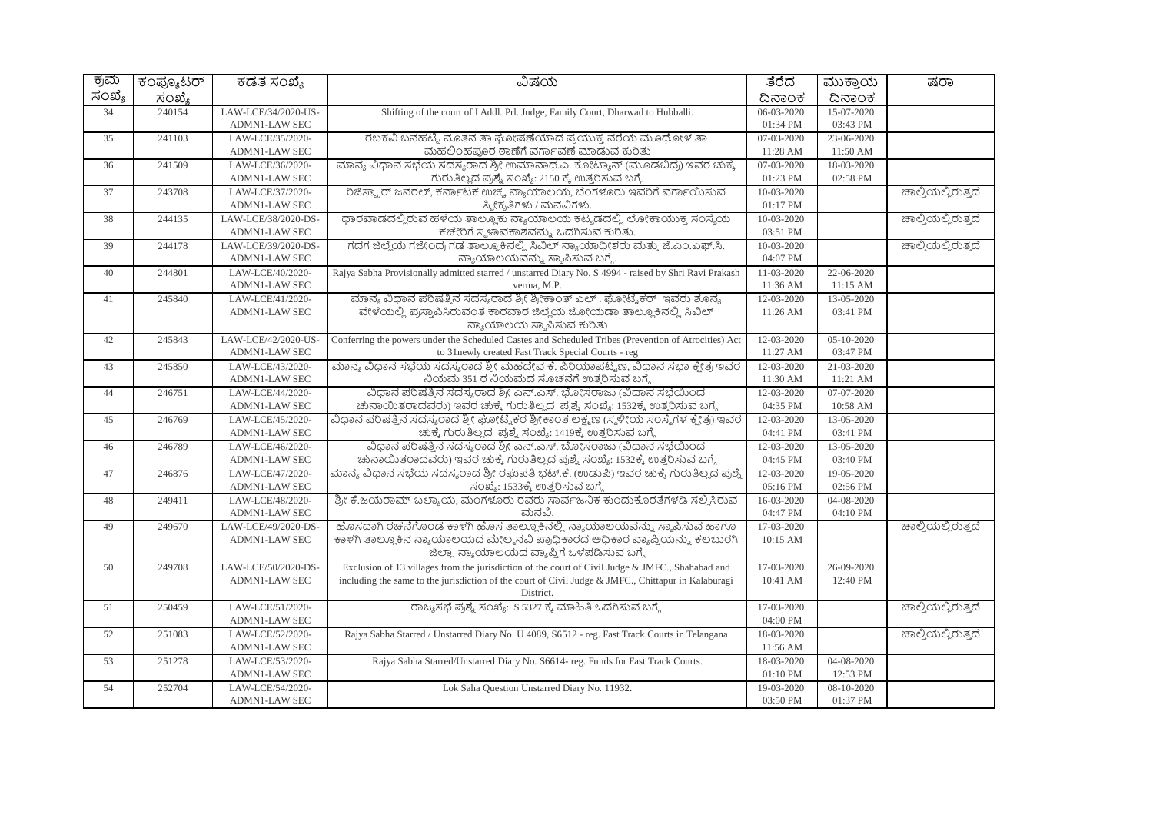| ಕ್ರಮ   | ಕಂಪ್ಯೂಟರ್ | ಕಡತ ಸಂಖ್ಯೆ                               | ವಿಷಯ                                                                                                                              | ತೆರೆದ                  | ಮುಕ್ತಾಯ                | ಷರಾ                |
|--------|-----------|------------------------------------------|-----------------------------------------------------------------------------------------------------------------------------------|------------------------|------------------------|--------------------|
| ಸಂಖ್ಯೆ | ಸಂಖ್ಯೆ    |                                          |                                                                                                                                   | ದಿನಾಂಕ                 | ದಿನಾಂಕ                 |                    |
| 34     | 240154    | LAW-LCE/34/2020-US-                      | Shifting of the court of I Addl. Prl. Judge, Family Court, Dharwad to Hubballi.                                                   | $06 - 03 - 2020$       | 15-07-2020             |                    |
|        |           | <b>ADMN1-LAW SEC</b>                     |                                                                                                                                   | 01:34 PM               | 03:43 PM               |                    |
| 35     | 241103    | LAW-LCE/35/2020-                         | ರಬಕವಿ ಬನಹಟ್ಟಿ ನೂತನ ತಾ ಘೋಷಣೆಯಾದ ಪ್ರಯುಕ್ತ ನರೆಯ ಮೂಧೋಳ ತಾ                                                                             | 07-03-2020             | 23-06-2020             |                    |
|        |           | ADMN1-LAW SEC                            | ಮಹಲಿಂಹಪೂರ ಠಾಣೆಗೆ ವರ್ಗಾವಣೆ ಮಾಡುವ ಕುರಿತು                                                                                            | 11:28 AM               | 11:50 AM               |                    |
| 36     | 241509    | LAW-LCE/36/2020-                         | ಮಾನ್ಯ ವಿಧಾನ ಸಭೆಯ ಸದಸ್ಯರಾದ ಶ್ರೀ ಉಮಾನಾಥ.ಎ. ಕೋಟ್ಯಾನ್ (ಮೂಡಬಿದ್ರೆ) ಇವರ ಚುಕ್ಕೆ                                                          | 07-03-2020             | 18-03-2020             |                    |
|        |           | ADMN1-LAW SEC                            | ಗುರುತಿಲ್ಲದ ಪ್ರಶ್ನೆ ಸಂಖ್ಯೆ: 2150 ಕ್ಕೆ ಉತ್ತರಿಸುವ ಬಗ್ಗೆ                                                                              | 01:23 PM               | 02:58 PM               |                    |
| 37     | 243708    | LAW-LCE/37/2020-<br>ADMN1-LAW SEC        | ರಿಜಿಸ್ಟ್ರಾರ್ ಜನರಲ್, ಕರ್ನಾಟಕ ಉಚ್ಚ ನ್ಯಾಯಾಲಯ, ಬೆಂಗಳೂರು ಇವರಿಗೆ ವರ್ಗಾಯಿಸುವ<br>ಸ್ವೀಕೃತಿಗಳು / ಮನವಿಗಳು.                                   | 10-03-2020<br>01:17 PM |                        | ಚಾಲ್ತಿಯಲ್ಲಿರುತ್ತದೆ |
| 38     | 244135    | LAW-LCE/38/2020-DS-                      | ಧಾರವಾಡದಲ್ಲಿರುವ ಹಳೆಯ ತಾಲ್ಲೂಕು ನ್ಯಾಯಾಲಯ ಕಟ್ಟಡದಲ್ಲಿ ಲೋಕಾಯುಕ್ತ ಸಂಸ್ಥೆಯ                                                                | 10-03-2020             |                        | ಚಾಲ್ತಿಯಲ್ಲಿರುತ್ತದೆ |
|        |           | <b>ADMN1-LAW SEC</b>                     | ಕಚೇರಿಗೆ ಸ್ಮಳಾವಕಾಶವನ್ನು ಒದಗಿಸುವ ಕುರಿತು.                                                                                            | 03:51 PM               |                        |                    |
| 39     | 244178    | LAW-LCE/39/2020-DS-                      | ಗದಗ ಜಿಲ್ಲೆಯ ಗಜೇಂದ್ರ ಗಡ ತಾಲ್ಲೂಕಿನಲ್ಲಿ ಸಿವಿಲ್ ನ್ಯಾಯಾಧೀಶರು ಮತ್ತು ಜೆ.ಎಂ.ಎಫ್.ಸಿ.                                                       | 10-03-2020             |                        | ಚಾಲ್ತಿಯಲ್ಲಿರುತ್ತದೆ |
|        |           | <b>ADMN1-LAW SEC</b>                     | ನ್ಯಾಯಾಲಯವನ್ನು ಸ್ಥಾಪಿಸುವ ಬಗ್ಗೆ.                                                                                                    | 04:07 PM               |                        |                    |
| 40     | 244801    | LAW-LCE/40/2020-                         | Rajya Sabha Provisionally admitted starred / unstarred Diary No. S 4994 - raised by Shri Ravi Prakash                             | 11-03-2020             | 22-06-2020             |                    |
|        |           | ADMN1-LAW SEC                            | verma, M.P.                                                                                                                       | 11:36 AM               | 11:15 AM               |                    |
| 41     | 245840    | LAW-LCE/41/2020-                         | ಮಾನ್ಯ ವಿಧಾನ ಪರಿಷತ್ತಿನ ಸದಸ್ಯರಾದ ಶ್ರೀ ಶ್ರೀಕಾಂತ್ ಎಲ್ . ಘೋಟ್ಕೆಕರ್  ಇವರು ಶೂನ್ಯ                                                         | 12-03-2020             | 13-05-2020             |                    |
|        |           | <b>ADMN1-LAW SEC</b>                     | ವೇಳೆಯಲ್ಲಿ ಪ್ರಸ್ತಾಪಿಸಿರುವಂತೆ ಕಾರವಾರ ಜಿಲ್ಲೆಯ ಜೋಯಡಾ ತಾಲ್ಲೂಕಿನಲ್ಲಿ ಸಿವಿಲ್                                                             | 11:26 AM               | 03:41 PM               |                    |
|        |           |                                          | ನ್ಯಾಯಾಲಯ ಸ್ಥಾಪಿಸುವ ಕುರಿತು                                                                                                         |                        |                        |                    |
| 42     | 245843    | LAW-LCE/42/2020-US-                      | Conferring the powers under the Scheduled Castes and Scheduled Tribes (Prevention of Atrocities) Act                              | 12-03-2020             | $05 - 10 - 2020$       |                    |
|        | 245850    | <b>ADMN1-LAW SEC</b>                     | to 31newly created Fast Track Special Courts - reg<br>ಮಾನ್ಯ ವಿಧಾನ ಸಭೆಯ ಸದಸ್ಯರಾದ ಶ್ರೀ ಮಹದೇವ ಕೆ. ಪಿರಿಯಾಪಟ್ಟಣ, ವಿಧಾನ ಸಭಾ ಕ್ಷೇತ್ರ ಇವರ | 11:27 AM<br>12-03-2020 | 03:47 PM<br>21-03-2020 |                    |
| 43     |           | LAW-LCE/43/2020-<br><b>ADMN1-LAW SEC</b> | ನಿಯಮ 351 ರ ನಿಯಮದ ಸೂಚನೆಗೆ ಉತ್ತರಿಸುವ ಬಗ್ಗೆ                                                                                          | 11:30 AM               | 11:21 AM               |                    |
| 44     | 246751    | LAW-LCE/44/2020-                         | ವಿಧಾನ ಪರಿಷತ್ತಿನ ಸದಸ್ಯರಾದ ಶ್ರೀ ಎನ್.ಎಸ್. ಭೋಸರಾಜು (ವಿಧಾನ ಸಭೆಯಿಂದ                                                                     | 12-03-2020             | 07-07-2020             |                    |
|        |           | <b>ADMN1-LAW SEC</b>                     | ಚುನಾಯಿತರಾದವರು) ಇವರ ಚುಕ್ಕೆ ಗುರುತಿಲ್ಲದ ಪ್ರಶ್ನೆ ಸಂಖ್ಯೆ: 1532ಕ್ಕೆ ಉತ್ತರಿಸುವ ಬಗ್ಗೆ                                                     | 04:35 PM               | 10:58 AM               |                    |
| 45     | 246769    | LAW-LCE/45/2020-                         | ವಿಧಾನ ಪರಿಷತ್ತಿನ ಸದಸ್ಯರಾದ ಶ್ರೀ ಘೋಟ್ನೆಕರ ಶ್ರೀಕಾಂತ ಲಕ್ಷ್ಮಣ (ಸ್ಥಳೀಯ ಸಂಸ್ಥೆಗಳ ಕ್ಷೇತ್ರ) ಇವರ                                             | 12-03-2020             | 13-05-2020             |                    |
|        |           | ADMN1-LAW SEC                            | ಚುಕ್ಕೆ ಗುರುತಿಲ್ಲದ ಪ್ರಶ್ನೆ ಸಂಖ್ಯೆ: 1419ಕ್ಕೆ ಉತ್ತರಿಸುವ ಬಗ್ಗೆ                                                                        | 04:41 PM               | 03:41 PM               |                    |
| 46     | 246789    | LAW-LCE/46/2020-                         | ವಿಧಾನ ಪರಿಷತ್ತಿನ ಸದಸ್ಯರಾದ ಶ್ರೀ ಎನ್.ಎಸ್. ಬೋಸರಾಜು (ವಿಧಾನ ಸಭೆಯಿಂದ                                                                     | 12-03-2020             | 13-05-2020             |                    |
|        |           | <b>ADMN1-LAW SEC</b>                     | ಚುನಾಯಿತರಾದವರು) ಇವರ ಚುಕ್ಕೆ ಗುರುತಿಲ್ಲದ ಪ್ರಶ್ನೆ ಸಂಖ್ಯೆ: 1532ಕ್ಕೆ ಉತ್ತರಿಸುವ ಬಗ್ಗೆ                                                     | 04:45 PM               | 03:40 PM               |                    |
| 47     | 246876    | LAW-LCE/47/2020-                         | ಮಾನ್ಯ ವಿಧಾನ ಸಭೆಯ ಸದಸ್ಯರಾದ ಶ್ರೀ ರಘುಪತಿ ಭಟ್.ಕೆ. (ಉಡುಪಿ) ಇವರ ಚುಕ್ಕೆ ಗುರುತಿಲ್ಲದ ಪ್ರಶ್ನೆ                                               | 12-03-2020             | 19-05-2020             |                    |
|        |           | <b>ADMN1-LAW SEC</b>                     | ಸಂಖ್ಯೆ: 1533ಕ್ಕೆ ಉತ್ತರಿಸುವ ಬಗ್ಗೆ                                                                                                  | 05:16 PM               | 02:56 PM               |                    |
| 48     | 249411    | LAW-LCE/48/2020-                         | ಶ್ರೀ ಕೆ.ಜಯರಾಮ್ ಬಲ್ಯಾಯ, ಮಂಗಳೂರು ರವರು ಸಾರ್ವಜನಿಕ ಕುಂದುಕೊರತೆಗಳಡಿ ಸಲ್ಲಿಸಿರುವ                                                           | 16-03-2020             | 04-08-2020             |                    |
|        |           | <b>ADMN1-LAW SEC</b>                     | ಮನವಿ.                                                                                                                             | 04:47 PM               | 04:10 PM               |                    |
| 49     | 249670    | LAW-LCE/49/2020-DS-                      | ಹೊಸದಾಗಿ ರಚನೆಗೊಂಡ ಕಾಳಗಿ ಹೊಸ ತಾಲ್ಲೂಕಿನಲ್ಲಿ ನ್ಯಾಯಾಲಯವನ್ನು ಸ್ಥಾಪಿಸುವ ಹಾಗೂ                                                             | 17-03-2020             |                        | ಚಾಲ್ತಿಯಲ್ಲಿರುತ್ತದೆ |
|        |           | ADMN1-LAW SEC                            | ಕಾಳಗಿ ತಾಲ್ಲೂಕಿನ ನ್ಯಾಯಾಲಯದ ಮೇಲ್ಮನವಿ ಪ್ರಾಧಿಕಾರದ ಅಧಿಕಾರ ವ್ಯಾಪ್ತಿಯನ್ನು ಕಲಬುರಗಿ<br>ಜಿಲ್ಲಾ ನ್ಯಾಯಾಲಯದ ವ್ಯಾಪ್ತಿಗೆ ಒಳಪಡಿಸುವ ಬಗ್ಗೆ          | 10:15 AM               |                        |                    |
| 50     | 249708    | LAW-LCE/50/2020-DS-                      | Exclusion of 13 villages from the jurisdiction of the court of Civil Judge & JMFC., Shahabad and                                  | 17-03-2020             | 26-09-2020             |                    |
|        |           | <b>ADMN1-LAW SEC</b>                     | including the same to the jurisdiction of the court of Civil Judge & JMFC., Chittapur in Kalaburagi                               | 10:41 AM               | 12:40 PM               |                    |
|        |           |                                          | District.                                                                                                                         |                        |                        |                    |
| 51     | 250459    | LAW-LCE/51/2020-                         | ರಾಜ್ಯಸಭೆ ಪ್ರಶ್ನೆ ಸಂಖ್ಯೆ: S 5327 ಕ್ಕೆ ಮಾಹಿತಿ ಒದಗಿಸುವ ಬಗ್ಗೆ.                                                                        | 17-03-2020             |                        | ಚಾಲ್ತಿಯಲ್ಲಿರುತ್ತದೆ |
|        |           | <b>ADMN1-LAW SEC</b>                     |                                                                                                                                   | 04:00 PM               |                        |                    |
| 52     | 251083    | LAW-LCE/52/2020-                         | Rajya Sabha Starred / Unstarred Diary No. U 4089, S6512 - reg. Fast Track Courts in Telangana.                                    | 18-03-2020             |                        | ಚಾಲ್ಲಿಯಲ್ಲಿರುತ್ತದೆ |
|        |           | ADMN1-LAW SEC                            |                                                                                                                                   | 11:56 AM               |                        |                    |
| 53     | 251278    | LAW-LCE/53/2020-<br><b>ADMN1-LAW SEC</b> | Rajya Sabha Starred/Unstarred Diary No. S6614-reg. Funds for Fast Track Courts.                                                   | 18-03-2020<br>01:10 PM | 04-08-2020<br>12:53 PM |                    |
| 54     | 252704    | LAW-LCE/54/2020-                         | Lok Saha Question Unstarred Diary No. 11932.                                                                                      | 19-03-2020             | 08-10-2020             |                    |
|        |           | <b>ADMN1-LAW SEC</b>                     |                                                                                                                                   | 03:50 PM               | 01:37 PM               |                    |
|        |           |                                          |                                                                                                                                   |                        |                        |                    |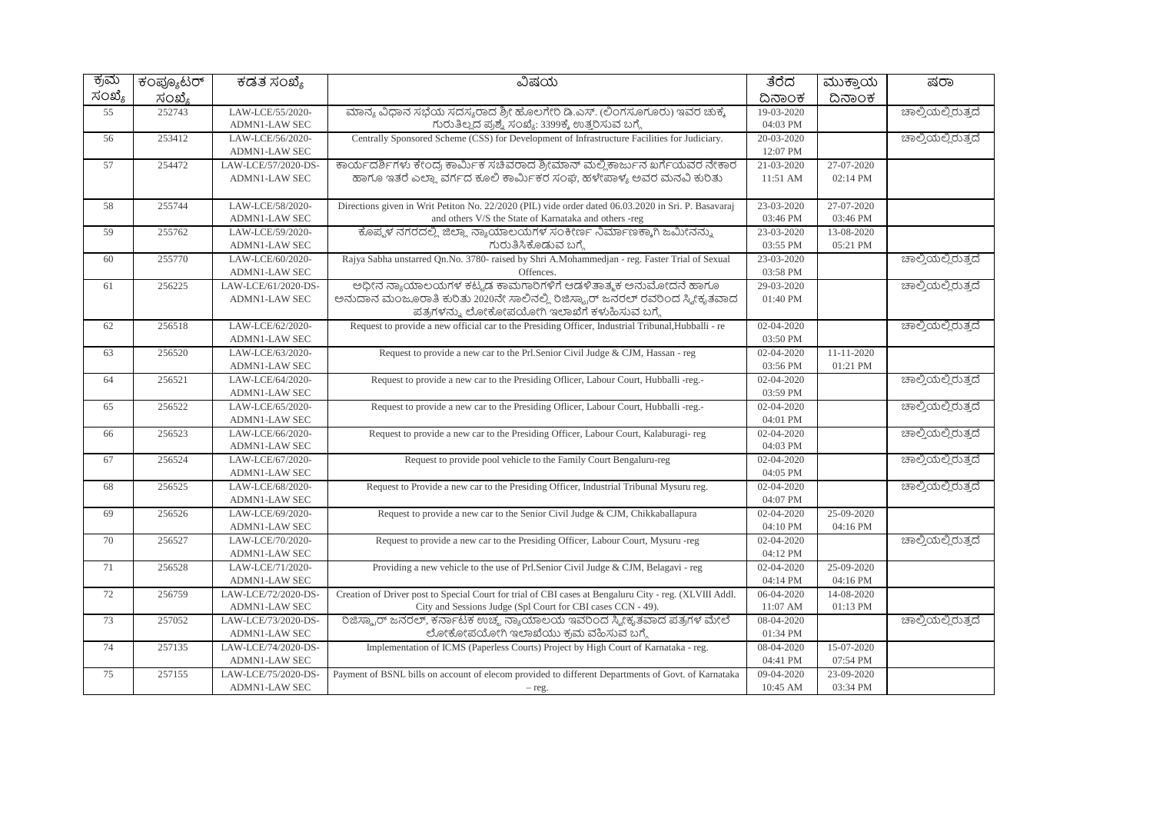| ಕ್ರಮ   | <u>ಕಂಪ್ಯೂ</u> ಟರ್ | ಕಡತ ಸಂಖ್ಯೆ           | ವಿಷಯ                                                                                                                        | ತೆರೆದ            | ಮುಕ್ತಾಯ          | ಷರಾ                |
|--------|-------------------|----------------------|-----------------------------------------------------------------------------------------------------------------------------|------------------|------------------|--------------------|
| ಸಂಖ್ಯೆ | ಸಂಖ್ಯೆ            |                      |                                                                                                                             | ದಿನಾಂಕ           | ದಿನಾಂಕ           |                    |
| 55     | 252743            | LAW-LCE/55/2020-     | ಮಾನ್ಯ ವಿಧಾನ ಸಭೆಯ ಸದಸ್ಯರಾದ ಶ್ರೀ ಹೊಲಗೇರಿ ಡಿ.ಎಸ್. (ಲಿಂಗಸೂಗೂರು) ಇವರ ಚುಕ್ಕೆ                                                      | 19-03-2020       |                  | ಚಾಲ್ತಿಯಲ್ಲಿರುತ್ತದೆ |
|        |                   | ADMN1-LAW SEC        | ಗುರುತಿಲ್ಲದ ಪ್ರಶ್ನೆ ಸಂಖ್ಯೆ: 3399ಕ್ಕೆ ಉತ್ತರಿಸುವ ಬಗ್ಗೆ                                                                         | 04:03 PM         |                  |                    |
| 56     | 253412            | LAW-LCE/56/2020-     | Centrally Sponsored Scheme (CSS) for Development of Infrastructure Facilities for Judiciary.                                | 20-03-2020       |                  | ಚಾಲ್ತಿಯಲ್ಲಿರುತ್ತದೆ |
|        |                   | <b>ADMN1-LAW SEC</b> |                                                                                                                             | 12:07 PM         |                  |                    |
| 57     | 254472            | LAW-LCE/57/2020-DS-  | ಕಾರ್ಯದರ್ಶಿಗಳು ಕೇಂದ್ರ ಕಾರ್ಮಿಕ ಸಚಿವರಾದ ಶ್ರೀಮಾನ್ ಮಲ್ಲಿ ಕಾರ್ಜುನ ಖರ್ಗೆಯವರ ನೇಕಾರ                                                  | 21-03-2020       | 27-07-2020       |                    |
|        |                   | <b>ADMN1-LAW SEC</b> | ಹಾಗೂ ಇತರೆ ಎಲ್ಲಾ ವರ್ಗದ ಕೂಲಿ ಕಾರ್ಮಿಕರ ಸಂಪ, ಹಳೇಪಾಳ್ಯ ಅವರ ಮನವಿ ಕುರಿತು                                                           | 11:51 AM         | 02:14 PM         |                    |
| 58     | 255744            | LAW-LCE/58/2020-     | Directions given in Writ Petiton No. 22/2020 (PIL) vide order dated 06.03.2020 in Sri. P. Basavaraj                         | 23-03-2020       | 27-07-2020       |                    |
|        |                   | <b>ADMN1-LAW SEC</b> | and others V/S the State of Karnataka and others -reg                                                                       | 03:46 PM         | 03:46 PM         |                    |
| 59     | 255762            | LAW-LCE/59/2020-     | ಕೊಪ್ಪಳ ನಗರದಲ್ಲಿ ಜಿಲ್ಲಾ ನ್ಯಾಯಾಲಯಗಳ ಸಂಕೀರ್ಣ ನಿರ್ಮಾಣಕ್ಕಾಗಿ ಜಮೀನನ್ನು                                                            | 23-03-2020       | 13-08-2020       |                    |
|        |                   | <b>ADMN1-LAW SEC</b> | ಗುರುತಿಸಿಕೊಡುವ ಬಗ್ಗೆ                                                                                                         | 03:55 PM         | 05:21 PM         |                    |
| 60     | 255770            | LAW-LCE/60/2020-     | Rajya Sabha unstarred On.No. 3780- raised by Shri A.Mohammedian - reg. Faster Trial of Sexual                               | 23-03-2020       |                  | ಚಾಲ್ತಿಯಲ್ಲಿರುತ್ತದೆ |
|        |                   | <b>ADMN1-LAW SEC</b> | Offences.                                                                                                                   | 03:58 PM         |                  |                    |
| 61     | 256225            | LAW-LCE/61/2020-DS-  | ಅಧೀನ ನ್ಯಾಯಾಲಯಗಳ ಕಟ್ಟಡ ಕಾಮಗಾರಿಗಳಿಗೆ ಆಡಳಿತಾತ್ಮಕ ಅನುಮೋದನೆ ಹಾಗೂ                                                                 | 29-03-2020       |                  | ಚಾಲ್ಲಿಯಲ್ಲಿರುತ್ತದೆ |
|        |                   | <b>ADMN1-LAW SEC</b> | ಅನುದಾನ ಮಂಜೂರಾತಿ ಕುರಿತು 2020ನೇ ಸಾಲಿನಲ್ಲಿ ರಿಜಿಸ್ಟ್ರಾರ್ ಜನರಲ್ ರವರಿಂದ ಸ್ಕೀಕೃತವಾದ<br>ಪತ್ರಗಳನ್ನು ಲೋಕೋಪಯೋಗಿ ಇಲಾಖೆಗೆ ಕಳುಹಿಸುವ ಬಗ್ಗೆ | 01:40 PM         |                  |                    |
| 62     | 256518            | LAW-LCE/62/2020-     | Request to provide a new official car to the Presiding Officer, Industrial Tribunal, Hubballi - re                          | 02-04-2020       |                  | ಚಾಲ್ಲಿಯಲ್ಲಿರುತ್ತದೆ |
|        |                   | <b>ADMN1-LAW SEC</b> |                                                                                                                             | 03:50 PM         |                  |                    |
| 63     | 256520            | LAW-LCE/63/2020-     | Request to provide a new car to the Prl.Senior Civil Judge & CJM, Hassan - reg                                              | 02-04-2020       | $11 - 11 - 2020$ |                    |
|        |                   | <b>ADMN1-LAW SEC</b> |                                                                                                                             | 03:56 PM         | 01:21 PM         |                    |
| 64     | 256521            | LAW-LCE/64/2020-     | Request to provide a new car to the Presiding Officer, Labour Court, Hubballi -reg.-                                        | 02-04-2020       |                  | ಚಾಲ್ತಿಯಲ್ಲಿರುತ್ತದೆ |
|        |                   | <b>ADMN1-LAW SEC</b> |                                                                                                                             | 03:59 PM         |                  |                    |
| 65     | 256522            | LAW-LCE/65/2020-     | Request to provide a new car to the Presiding Officer, Labour Court, Hubballi -reg.-                                        | 02-04-2020       |                  | ಚಾಲ್ತಿಯಲ್ಲಿರುತ್ತದೆ |
|        |                   | <b>ADMN1-LAW SEC</b> |                                                                                                                             | 04:01 PM         |                  |                    |
| 66     | 256523            | LAW-LCE/66/2020-     | Request to provide a new car to the Presiding Officer, Labour Court, Kalaburagi-reg                                         | $02 - 04 - 2020$ |                  | ಚಾಲ್ತಿಯಲ್ಲಿರುತ್ತದೆ |
|        |                   | <b>ADMN1-LAW SEC</b> |                                                                                                                             | 04:03 PM         |                  |                    |
| 67     | 256524            | LAW-LCE/67/2020-     | Request to provide pool vehicle to the Family Court Bengaluru-reg                                                           | 02-04-2020       |                  | ಚಾಲ್ತಿಯಲ್ಲಿರುತ್ತದೆ |
|        |                   | <b>ADMN1-LAW SEC</b> |                                                                                                                             | 04:05 PM         |                  |                    |
| 68     | 256525            | LAW-LCE/68/2020-     | Request to Provide a new car to the Presiding Officer, Industrial Tribunal Mysuru reg.                                      | 02-04-2020       |                  | ಚಾಲ್ತಿಯಲ್ಲಿರುತ್ತದೆ |
|        |                   | <b>ADMN1-LAW SEC</b> |                                                                                                                             | 04:07 PM         |                  |                    |
| 69     | 256526            | LAW-LCE/69/2020-     | Request to provide a new car to the Senior Civil Judge & CJM, Chikkaballapura                                               | 02-04-2020       | $25 - 09 - 2020$ |                    |
|        |                   | ADMN1-LAW SEC        |                                                                                                                             | 04:10 PM         | 04:16 PM         |                    |
| 70     | 256527            | LAW-LCE/70/2020-     | Request to provide a new car to the Presiding Officer, Labour Court, Mysuru -reg                                            | 02-04-2020       |                  | ಚಾಲ್ತಿಯಲ್ಲಿರುತ್ತದೆ |
|        |                   | <b>ADMN1-LAW SEC</b> |                                                                                                                             | 04:12 PM         |                  |                    |
| 71     | 256528            | LAW-LCE/71/2020-     | Providing a new vehicle to the use of Prl.Senior Civil Judge & CJM, Belagavi - reg                                          | $02 - 04 - 2020$ | 25-09-2020       |                    |
|        |                   | <b>ADMN1-LAW SEC</b> |                                                                                                                             | 04:14 PM         | 04:16 PM         |                    |
| 72     | 256759            | LAW-LCE/72/2020-DS-  | Creation of Driver post to Special Court for trial of CBI cases at Bengaluru City - reg. (XLVIII Addl.                      | 06-04-2020       | 14-08-2020       |                    |
|        |                   | <b>ADMN1-LAW SEC</b> | City and Sessions Judge (Spl Court for CBI cases CCN - 49).                                                                 | 11:07 AM         | 01:13 PM         |                    |
| 73     | 257052            | LAW-LCE/73/2020-DS-  | ರಿಜಿಸ್ಟ್ರಾರ್ ಜನರಲ್, ಕರ್ನಾಟಕ ಉಚ್ಮ ನ್ಯಾಯಾಲಯ ಇವರಿಂದ ಸ್ನೀಕೃತವಾದ ಪತ್ರಗಳ ಮೇಲೆ                                                     | 08-04-2020       |                  | ಚಾಲ್ಕಿಯಲ್ಲಿರುತ್ತದೆ |
|        |                   | <b>ADMN1-LAW SEC</b> | ಲೋಕೋಪಯೋಗಿ ಇಲಾಖೆಯು ಕ್ರಮ ವಹಿಸುವ ಬಗ್ಗೆ                                                                                         | 01:34 PM         |                  |                    |
| 74     | 257135            | LAW-LCE/74/2020-DS-  | Implementation of ICMS (Paperless Courts) Project by High Court of Karnataka - reg.                                         | 08-04-2020       | 15-07-2020       |                    |
|        |                   | <b>ADMN1-LAW SEC</b> |                                                                                                                             | 04:41 PM         | 07:54 PM         |                    |
| 75     | 257155            | LAW-LCE/75/2020-DS-  | Payment of BSNL bills on account of elecom provided to different Departments of Govt. of Karnataka                          | 09-04-2020       | 23-09-2020       |                    |
|        |                   | <b>ADMN1-LAW SEC</b> | $-$ reg.                                                                                                                    | 10:45 AM         | 03:34 PM         |                    |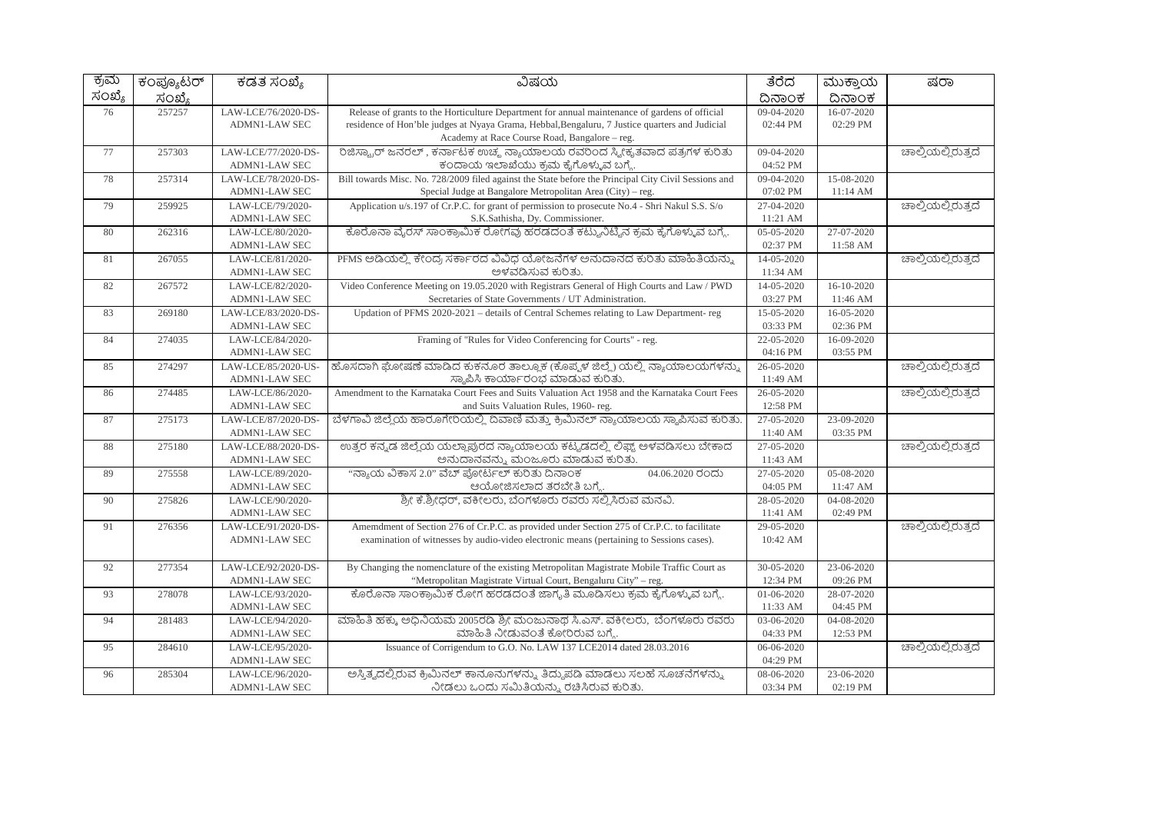| ಕ್ರಮ   | ಕಂಪ್ಯೂಟರ್ | ಕಡತ ಸಂಖ್ಯೆ           | ವಿಷಯ                                                                                                      | ತೆರೆದ            | ಮುಕ್ತಾಯ    | ಷರಾ                |
|--------|-----------|----------------------|-----------------------------------------------------------------------------------------------------------|------------------|------------|--------------------|
| ಸಂಖ್ಯೆ | ಸಂಖ್ಯೆ    |                      |                                                                                                           | ದಿನಾಂಕ           | ದಿನಾಂಕ     |                    |
| 76     | 257257    | LAW-LCE/76/2020-DS-  | Release of grants to the Horticulture Department for annual maintenance of gardens of official            | 09-04-2020       | 16-07-2020 |                    |
|        |           | <b>ADMN1-LAW SEC</b> | residence of Hon'ble judges at Nyaya Grama, Hebbal, Bengaluru, 7 Justice quarters and Judicial            | 02:44 PM         | 02:29 PM   |                    |
|        |           |                      | Academy at Race Course Road, Bangalore - reg.                                                             |                  |            |                    |
| 77     | 257303    | LAW-LCE/77/2020-DS-  | ರಿಜಿಸ್ಟ್ರಾರ್ ಜನರಲ್, ಕರ್ನಾಟಕ ಉಚ್ಮ ನ್ಯಾಯಾಲಯ ರವರಿಂದ ಸ್ನೀಕೃತವಾದ ಪತ್ರಗಳ ಕುರಿತು                                 | 09-04-2020       |            | ಚಾಲ್ಕಿಯಲ್ಲಿರುತ್ತದೆ |
|        |           | <b>ADMN1-LAW SEC</b> | ಕಂದಾಯ ಇಲಾಖೆಯು ಕ್ರಮ ಕೈಗೊಳ್ಳುವ ಬಗ್ಗೆ.                                                                       | 04:52 PM         |            |                    |
| 78     | 257314    | LAW-LCE/78/2020-DS-  | Bill towards Misc. No. 728/2009 filed against the State before the Principal City Civil Sessions and      | 09-04-2020       | 15-08-2020 |                    |
|        |           | <b>ADMN1-LAW SEC</b> | Special Judge at Bangalore Metropolitan Area (City) - reg.                                                | 07:02 PM         | 11:14 AM   |                    |
| 79     | 259925    | LAW-LCE/79/2020-     | Application u/s.197 of Cr.P.C. for grant of permission to prosecute No.4 - Shri Nakul S.S. S/o            | 27-04-2020       |            | ಚಾಲ್ತಿಯಲ್ಲಿರುತ್ತದೆ |
|        |           | <b>ADMN1-LAW SEC</b> | S.K.Sathisha, Dy. Commissioner.                                                                           | 11:21 AM         |            |                    |
| 80     | 262316    | LAW-LCE/80/2020-     | ಕೊರೊನಾ ವೈರಸ್ ಸಾಂಕ್ರಾಮಿಕ ರೋಗವು ಹರಡದಂತೆ ಕಟ್ಟುನಿಟ್ಟಿನ ಕ್ರಮ ಕೈಗೊಳ್ಳುವ ಬಗ್ಗೆ.                                  | 05-05-2020       | 27-07-2020 |                    |
|        |           | <b>ADMN1-LAW SEC</b> |                                                                                                           | 02:37 PM         | 11:58 AM   |                    |
| 81     | 267055    | LAW-LCE/81/2020-     | PFMS ಅಡಿಯಲ್ಲಿ ಕೇಂದ್ರ ಸರ್ಕಾರದ ವಿವಿಧ ಯೋಜನೆಗಳ ಅನುದಾನದ ಕುರಿತು ಮಾಹಿತಿಯನ್ನು                                     | 14-05-2020       |            | ಚಾಲ್ಕಿಯಲ್ಲಿರುತ್ತದೆ |
|        |           | <b>ADMN1-LAW SEC</b> | ಅಳವಡಿಸುವ ಕುರಿತು.                                                                                          | 11:34 AM         |            |                    |
| 82     | 267572    | LAW-LCE/82/2020-     | Video Conference Meeting on 19.05.2020 with Registrars General of High Courts and Law / PWD               | 14-05-2020       | 16-10-2020 |                    |
|        |           | <b>ADMN1-LAW SEC</b> | Secretaries of State Governments / UT Administration.                                                     | 03:27 PM         | 11:46 AM   |                    |
| 83     | 269180    | LAW-LCE/83/2020-DS-  | Updation of PFMS 2020-2021 – details of Central Schemes relating to Law Department-reg                    | 15-05-2020       | 16-05-2020 |                    |
|        |           | <b>ADMN1-LAW SEC</b> |                                                                                                           | 03:33 PM         | 02:36 PM   |                    |
| 84     | 274035    | LAW-LCE/84/2020-     | Framing of "Rules for Video Conferencing for Courts" - reg.                                               | 22-05-2020       | 16-09-2020 |                    |
|        |           | <b>ADMN1-LAW SEC</b> |                                                                                                           | 04:16 PM         | 03:55 PM   |                    |
| 85     | 274297    | LAW-LCE/85/2020-US-  | ಹೊಸದಾಗಿ ಘೋಷಣೆ ಮಾಡಿದ ಕುಕನೂರ ತಾಲ್ಲೂಕ (ಕೊಪ್ಪಳ ಜಿಲ್ಲೆ) ಯಲ್ಲಿ ನ್ಯಾಯಾಲಯಗಳನ್ನು                                   | $26 - 05 - 2020$ |            | ಚಾಲ್ತಿಯಲ್ಲಿರುತ್ತದೆ |
|        |           | <b>ADMN1-LAW SEC</b> | ಸ್ಮಾಪಿಸಿ ಕಾರ್ಯಾರಂಭ ಮಾಡುವ ಕುರಿತು.                                                                          | 11:49 AM         |            |                    |
| 86     | 274485    | LAW-LCE/86/2020-     | Amendment to the Karnataka Court Fees and Suits Valuation Act 1958 and the Karnataka Court Fees           | 26-05-2020       |            | ಚಾಲ್ಲಿಯಲ್ಲಿರುತ್ತದೆ |
|        |           | <b>ADMN1-LAW SEC</b> | and Suits Valuation Rules, 1960-reg.                                                                      | 12:58 PM         |            |                    |
| 87     | 275173    | LAW-LCE/87/2020-DS-  | ಬೆಳಗಾವಿ ಜಿಲ್ಲೆಯ ಹಾರೂಗೇರಿಯಲ್ಲಿ ದಿವಾಣಿ ಮತ್ತು ಕ್ರಿಮಿನಲ್ ನ್ಯಾಯಾಲಯ ಸ್ಥಾಪಿಸುವ ಕುರಿತು                            | 27-05-2020       | 23-09-2020 |                    |
|        |           | ADMN1-LAW SEC        |                                                                                                           | 11:40 AM         | 03:35 PM   |                    |
| 88     | 275180    | LAW-LCE/88/2020-DS-  | ಉತ್ತರ ಕನ್ನಡ ಜಿಲ್ಲೆಯ ಯಲ್ಲಾಪುರದ ನ್ಯಾಯಾಲಯ ಕಟ್ಟಡದಲ್ಲಿ ಲಿಫ್ಟ್ ಅಳವಡಿಸಲು ಬೇಕಾದ                                   | 27-05-2020       |            | ಚಾಲ್ಕಿಯಲ್ಲಿರುತ್ತದೆ |
|        |           | <b>ADMN1-LAW SEC</b> | ಅನುದಾನವನ್ನು ಮಂಜೂರು ಮಾಡುವ ಕುರಿತು                                                                           | 11:43 AM         |            |                    |
| 89     | 275558    | LAW-LCE/89/2020-     | "ನ್ಯಾಯ ವಿಕಾಸ 2.0" ವೆಬ್ ಫೋರ್ಟಲ್ ಕುರಿತು ದಿನಾಂಕ<br>04.06.2020 ರಂದು                                           | 27-05-2020       | 05-08-2020 |                    |
|        |           | ADMN1-LAW SEC        | ಆಯೋಜಿಸಲಾದ ತರಬೇತಿ ಬಗ್ಗೆ.                                                                                   | 04:05 PM         | 11:47 AM   |                    |
| 90     | 275826    | LAW-LCE/90/2020-     | ಶ್ರೀ ಕೆ.ಶ್ರೀಧರ್, ವಕೀಲರು, ಬೆಂಗಳೂರು ರವರು ಸಲ್ಲಿಸಿರುವ ಮನವಿ.                                                   | 28-05-2020       | 04-08-2020 |                    |
|        |           | <b>ADMN1-LAW SEC</b> |                                                                                                           | 11:41 AM         | 02:49 PM   |                    |
| 91     | 276356    | LAW-LCE/91/2020-DS-  | Amemdment of Section 276 of Cr.P.C. as provided under Section 275 of Cr.P.C. to facilitate                | 29-05-2020       |            | ಚಾಲ್ತಿಯಲ್ಲಿರುತ್ತದೆ |
|        |           | <b>ADMN1-LAW SEC</b> | examination of witnesses by audio-video electronic means (pertaining to Sessions cases).                  | 10:42 AM         |            |                    |
|        |           |                      |                                                                                                           |                  |            |                    |
| 92     | 277354    | LAW-LCE/92/2020-DS-  | By Changing the nomenclature of the existing Metropolitan Magistrate Mobile Traffic Court as              | 30-05-2020       | 23-06-2020 |                    |
|        |           | <b>ADMN1-LAW SEC</b> | "Metropolitan Magistrate Virtual Court, Bengaluru City" – reg.                                            | 12:34 PM         | 09:26 PM   |                    |
| 93     | 278078    | LAW-LCE/93/2020-     | ಕೊರೊನಾ ಸಾಂಕ್ರಾಮಿಕ ರೋಗ ಹರಡದಂತೆ ಜಾಗೃತಿ ಮೂಡಿಸಲು ಕ್ರಮ ಕೈಗೊಳ್ಳುವ ಬಗ್ಗೆ.                                        | 01-06-2020       | 28-07-2020 |                    |
|        |           | <b>ADMN1-LAW SEC</b> |                                                                                                           | 11:33 AM         | 04:45 PM   |                    |
| 94     | 281483    | LAW-LCE/94/2020-     | ಮಾಹಿತಿ ಹಕ್ಕು ಅಧಿನಿಯಮ 2005ರಡಿ ಶ್ರೀ ಮಂಜುನಾಥ ಸಿ.ಎಸ್. ವಕೀಲರು, ಬೆಂಗಳೂರು ರವರು<br>ಮಾಹಿತಿ ನೀಡುವಂತೆ ಕೋರಿರುವ ಬಗ್ಗೆ. | 03-06-2020       | 04-08-2020 |                    |
|        |           | <b>ADMN1-LAW SEC</b> |                                                                                                           | 04:33 PM         | 12:53 PM   |                    |
| 95     | 284610    | LAW-LCE/95/2020-     | Issuance of Corrigendum to G.O. No. LAW 137 LCE2014 dated 28.03.2016                                      | 06-06-2020       |            | ಚಾಲ್ತಿಯಲ್ಲಿರುತ್ತದೆ |
|        | 285304    | <b>ADMN1-LAW SEC</b> | ಅಸ್ತಿತ್ವದಲ್ಲಿರುವ ಕ್ರಿಮಿನಲ್ ಕಾನೂನುಗಳನ್ನು ತಿದ್ದುಪಡಿ ಮಾಡಲು ಸಲಹೆ ಸೂಚನೆಗಳನ್ನು                                  | 04:29 PM         |            |                    |
| 96     |           | LAW-LCE/96/2020-     | ನೀಡಲು ಒಂದು ಸಮಿತಿಯನ್ನು ರಚಿಸಿರುವ ಕುರಿತು.                                                                    | 08-06-2020       | 23-06-2020 |                    |
|        |           | <b>ADMN1-LAW SEC</b> |                                                                                                           | 03:34 PM         | 02:19 PM   |                    |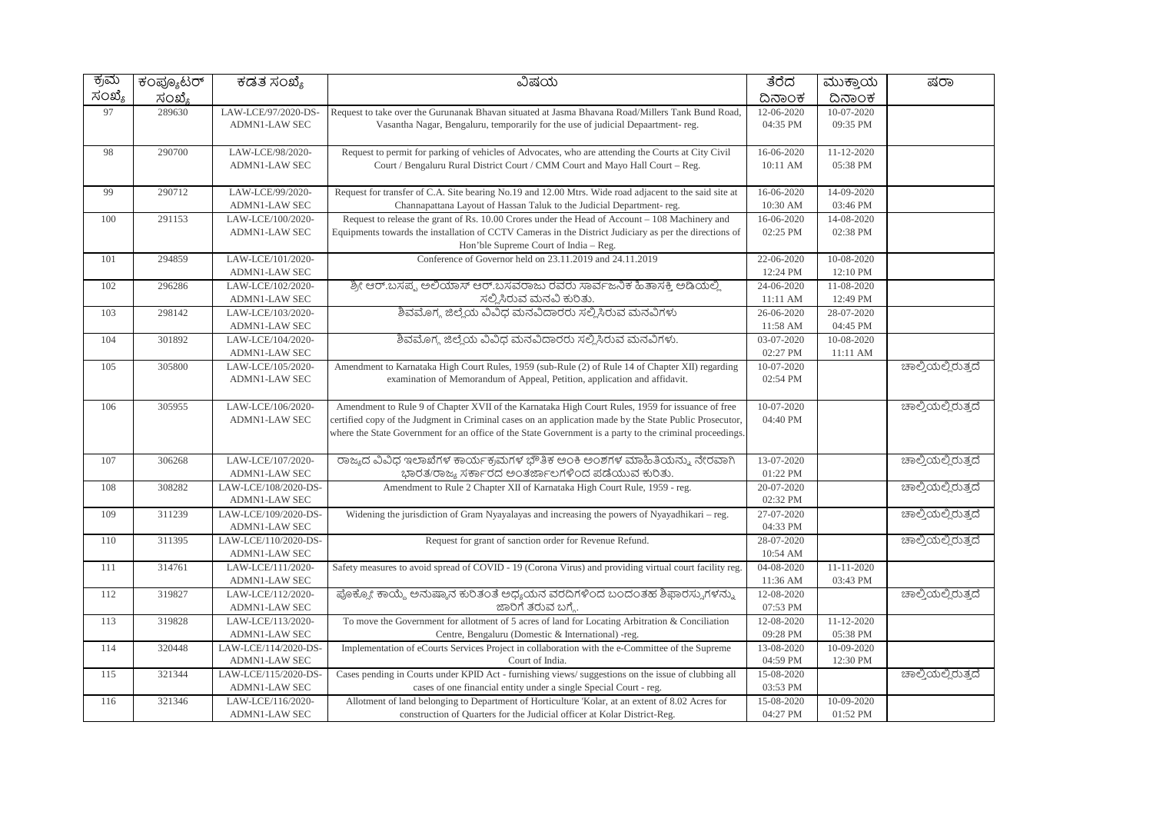| ಕ್ರಮ   | ಕಂಪ್ಯೂಟರ್ | ಕಡತ ಸಂಖ್ಯೆ                                | ವಿಷಯ                                                                                                     | ತೆರೆದ                  | ಮುಕ್ತಾಯ    | ಷರಾ                |
|--------|-----------|-------------------------------------------|----------------------------------------------------------------------------------------------------------|------------------------|------------|--------------------|
| ಸಂಖ್ಯೆ | ಸಂಖ್ಯೆ    |                                           |                                                                                                          | ದಿನಾಂಕ                 | ದಿನಾಂಕ     |                    |
| 97     | 289630    | LAW-LCE/97/2020-DS-                       | Request to take over the Gurunanak Bhavan situated at Jasma Bhavana Road/Millers Tank Bund Road,         | 12-06-2020             | 10-07-2020 |                    |
|        |           | <b>ADMN1-LAW SEC</b>                      | Vasantha Nagar, Bengaluru, temporarily for the use of judicial Depaartment-reg.                          | 04:35 PM               | 09:35 PM   |                    |
|        |           |                                           |                                                                                                          |                        |            |                    |
| 98     | 290700    | LAW-LCE/98/2020-                          | Request to permit for parking of vehicles of Advocates, who are attending the Courts at City Civil       | 16-06-2020             | 11-12-2020 |                    |
|        |           | <b>ADMN1-LAW SEC</b>                      | Court / Bengaluru Rural District Court / CMM Court and Mayo Hall Court - Reg.                            | 10:11 AM               | 05:38 PM   |                    |
|        |           |                                           |                                                                                                          |                        |            |                    |
| 99     | 290712    | LAW-LCE/99/2020-                          | Request for transfer of C.A. Site bearing No.19 and 12.00 Mtrs. Wide road adjacent to the said site at   | 16-06-2020             | 14-09-2020 |                    |
|        |           | <b>ADMN1-LAW SEC</b>                      | Channapattana Layout of Hassan Taluk to the Judicial Department-reg.                                     | 10:30 AM               | 03:46 PM   |                    |
| 100    | 291153    | LAW-LCE/100/2020-                         | Request to release the grant of Rs. 10.00 Crores under the Head of Account – 108 Machinery and           | 16-06-2020             | 14-08-2020 |                    |
|        |           | <b>ADMN1-LAW SEC</b>                      | Equipments towards the installation of CCTV Cameras in the District Judiciary as per the directions of   | 02:25 PM               | 02:38 PM   |                    |
|        |           |                                           | Hon'ble Supreme Court of India - Reg.                                                                    |                        |            |                    |
| 101    | 294859    | LAW-LCE/101/2020-                         | Conference of Governor held on 23.11.2019 and 24.11.2019                                                 | 22-06-2020             | 10-08-2020 |                    |
|        |           | <b>ADMN1-LAW SEC</b>                      |                                                                                                          | 12:24 PM               | 12:10 PM   |                    |
| 102    | 296286    | LAW-LCE/102/2020-                         | ಶ್ರೀ ಆರ್.ಬಸಪ್ಪ ಅಲಿಯಾಸ್ ಆರ್.ಬಸವರಾಜು ರವರು ಸಾರ್ವಜನಿಕ ಹಿತಾಸಕ್ತಿ ಅಡಿಯಲ್ಲಿ                                     | 24-06-2020             | 11-08-2020 |                    |
|        |           | <b>ADMN1-LAW SEC</b>                      | ಸಲ್ಲಿಸಿರುವ ಮನವಿ ಕುರಿತು.                                                                                  | 11:11 AM               | 12:49 PM   |                    |
| 103    | 298142    | LAW-LCE/103/2020-                         | ಶಿವಮೊಗ್ಗ ಜಿಲ್ಲೆಯ ವಿವಿಧ ಮನವಿದಾರರು ಸಲ್ಲಿಸಿರುವ ಮನವಿಗಳು                                                      | 26-06-2020             | 28-07-2020 |                    |
|        |           | <b>ADMN1-LAW SEC</b>                      |                                                                                                          | 11:58 AM               | 04:45 PM   |                    |
| 104    | 301892    | LAW-LCE/104/2020-                         | ಶಿವಮೊಗ್ಗ ಜಿಲ್ಲೆಯ ವಿವಿಧ ಮನವಿದಾರರು ಸಲ್ಲಿಸಿರುವ ಮನವಿಗಳು.                                                     | 03-07-2020             | 10-08-2020 |                    |
|        |           | <b>ADMN1-LAW SEC</b>                      |                                                                                                          | 02:27 PM               | 11:11 AM   |                    |
| 105    | 305800    | LAW-LCE/105/2020-                         | Amendment to Karnataka High Court Rules, 1959 (sub-Rule (2) of Rule 14 of Chapter XII) regarding         | 10-07-2020             |            | ಚಾಲ್ತಿಯಲ್ಲಿರುತ್ತದೆ |
|        |           | <b>ADMN1-LAW SEC</b>                      | examination of Memorandum of Appeal, Petition, application and affidavit.                                | 02:54 PM               |            |                    |
|        |           |                                           |                                                                                                          |                        |            |                    |
| 106    | 305955    | LAW-LCE/106/2020-                         | Amendment to Rule 9 of Chapter XVII of the Karnataka High Court Rules, 1959 for issuance of free         | 10-07-2020             |            | ಚಾಲ್ತಿಯಲ್ಲಿರುತ್ತದೆ |
|        |           | ADMN1-LAW SEC                             | certified copy of the Judgment in Criminal cases on an application made by the State Public Prosecutor,  | 04:40 PM               |            |                    |
|        |           |                                           | where the State Government for an office of the State Government is a party to the criminal proceedings. |                        |            |                    |
|        |           |                                           |                                                                                                          |                        |            |                    |
| 107    | 306268    | LAW-LCE/107/2020-                         | ರಾಜ್ಯದ ವಿವಿಧ ಇಲಾಖೆಗಳ ಕಾರ್ಯಕ್ರಮಗಳ ಭೌತಿಕ ಅಂಕಿ ಅಂಶಗಳ ಮಾಹಿತಿಯನ್ನು ನೇರವಾಗಿ                                    | 13-07-2020             |            | ಚಾಲ್ತಿಯಲ್ಲಿರುತ್ತದೆ |
|        |           | <b>ADMN1-LAW SEC</b>                      | ಭಾರತ/ರಾಜ್ಯ ಸರ್ಕಾರದ ಅಂತರ್ಜಾಲಗಳಿಂದ ಪಡೆಯುವ ಕುರಿತು.                                                          | 01:22 PM               |            |                    |
| 108    | 308282    | LAW-LCE/108/2020-DS-                      | Amendment to Rule 2 Chapter XII of Karnataka High Court Rule, 1959 - reg.                                | 20-07-2020             |            | ಚಾಲ್ತಿಯಲ್ಲಿರುತ್ತದೆ |
|        |           | <b>ADMN1-LAW SEC</b>                      |                                                                                                          | 02:32 PM               |            |                    |
| 109    | 311239    | LAW-LCE/109/2020-DS-                      | Widening the jurisdiction of Gram Nyayalayas and increasing the powers of Nyayadhikari - reg.            | 27-07-2020             |            | ಚಾಲ್ಕಿಯಲ್ಲಿರುತ್ತದೆ |
|        |           | <b>ADMN1-LAW SEC</b>                      |                                                                                                          | 04:33 PM               |            |                    |
| 110    | 311395    | LAW-LCE/110/2020-DS-                      | Request for grant of sanction order for Revenue Refund.                                                  | 28-07-2020             |            | ಚಾಲ್ಲಿಯಲ್ಲಿರುತ್ತದೆ |
|        |           | <b>ADMN1-LAW SEC</b>                      |                                                                                                          | 10:54 AM               |            |                    |
| 111    | 314761    | LAW-LCE/111/2020-<br><b>ADMN1-LAW SEC</b> | Safety measures to avoid spread of COVID - 19 (Corona Virus) and providing virtual court facility reg.   | 04-08-2020             | 11-11-2020 |                    |
|        |           |                                           | ಪೊಕ್ಸೋ ಕಾಯ್ದೆ ಅನುಷ್ಠಾನ ಕುರಿತಂತೆ ಅಧ್ಯಯನ ವರದಿಗಳಿಂದ ಬಂದಂತಹ ಶಿಫಾರಸ್ಸುಗಳನ್ನು                                  | 11:36 AM               | 03:43 PM   | ಚಾಲ್ತಿಯಲ್ಲಿರುತ್ತದೆ |
| 112    | 319827    | LAW-LCE/112/2020-<br><b>ADMN1-LAW SEC</b> | ಜಾರಿಗೆ ತರುವ ಬಗ್ಗೆ.                                                                                       | 12-08-2020<br>07:53 PM |            |                    |
| 113    | 319828    | LAW-LCE/113/2020-                         | To move the Government for allotment of 5 acres of land for Locating Arbitration & Conciliation          | 12-08-2020             | 11-12-2020 |                    |
|        |           | <b>ADMN1-LAW SEC</b>                      | Centre, Bengaluru (Domestic & International) -reg.                                                       | 09:28 PM               | 05:38 PM   |                    |
| 114    | 320448    | LAW-LCE/114/2020-DS-                      | Implementation of eCourts Services Project in collaboration with the e-Committee of the Supreme          | 13-08-2020             | 10-09-2020 |                    |
|        |           | <b>ADMN1-LAW SEC</b>                      | Court of India.                                                                                          | 04:59 PM               | 12:30 PM   |                    |
| 115    | 321344    | LAW-LCE/115/2020-DS-                      | Cases pending in Courts under KPID Act - furnishing views/ suggestions on the issue of clubbing all      | 15-08-2020             |            | ಚಾಲ್ತಿಯಲ್ಲಿರುತ್ತದೆ |
|        |           | <b>ADMN1-LAW SEC</b>                      | cases of one financial entity under a single Special Court - reg.                                        | 03:53 PM               |            |                    |
| 116    | 321346    | LAW-LCE/116/2020-                         | Allotment of land belonging to Department of Horticulture 'Kolar, at an extent of 8.02 Acres for         | 15-08-2020             | 10-09-2020 |                    |
|        |           | <b>ADMN1-LAW SEC</b>                      | construction of Quarters for the Judicial officer at Kolar District-Reg.                                 | 04:27 PM               | 01:52 PM   |                    |
|        |           |                                           |                                                                                                          |                        |            |                    |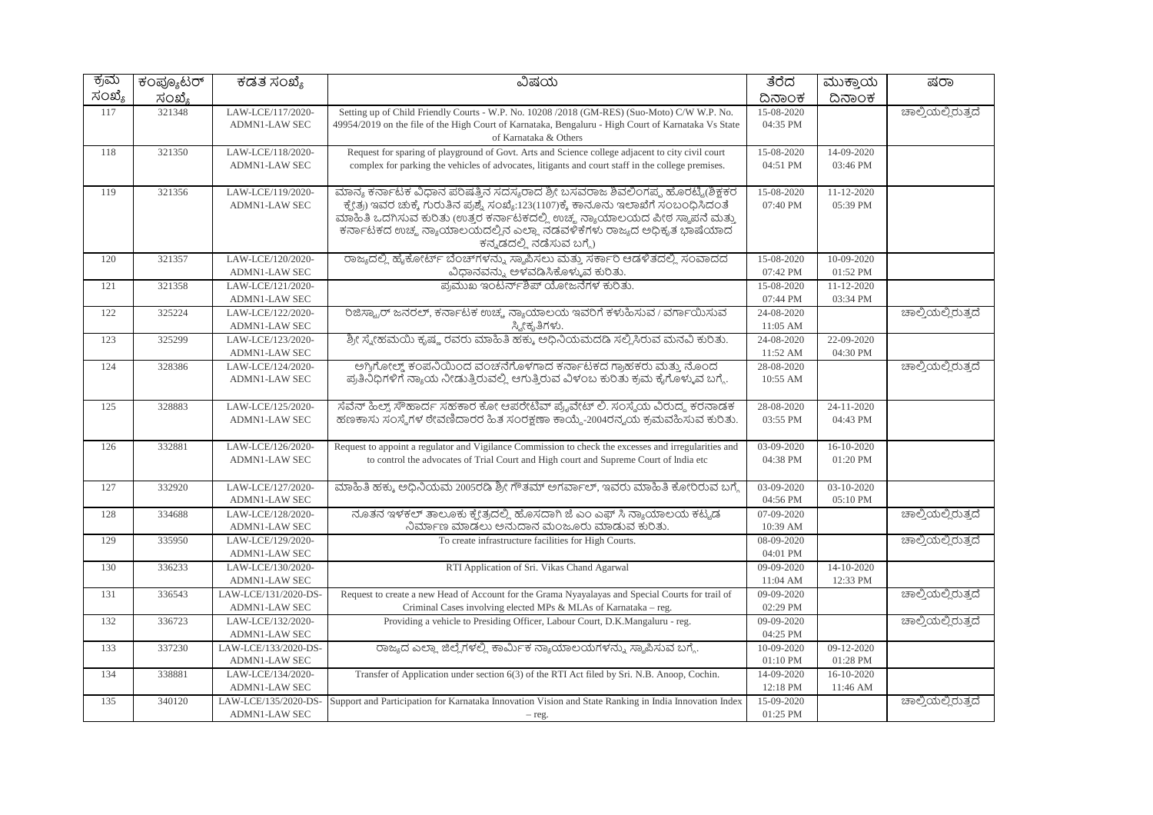| ಕ್ರಮ   | ಕಂಪ್ಯೂಟರ್ | ಕಡತ ಸಂಖ್ಯೆ           | ವಿಷಯ                                                                                                  | ತೆರೆದ            | ಮುಕ್ತಾಯ          | ಷರಾ                |
|--------|-----------|----------------------|-------------------------------------------------------------------------------------------------------|------------------|------------------|--------------------|
| ಸಂಖ್ಯೆ | ಸಂಖ್ಯೆ    |                      |                                                                                                       | ದಿನಾಂಕ           | ದಿನಾಂಕ           |                    |
| 117    | 321348    | LAW-LCE/117/2020-    | Setting up of Child Friendly Courts - W.P. No. 10208 /2018 (GM-RES) (Suo-Moto) C/W W.P. No.           | 15-08-2020       |                  | ಚಾಲ್ತಿಯಲ್ಲಿರುತ್ತದೆ |
|        |           | <b>ADMN1-LAW SEC</b> | 49954/2019 on the file of the High Court of Karnataka, Bengaluru - High Court of Karnataka Vs State   | 04:35 PM         |                  |                    |
|        |           |                      | of Karnataka & Others                                                                                 |                  |                  |                    |
| 118    | 321350    | LAW-LCE/118/2020-    | Request for sparing of playground of Govt. Arts and Science college adjacent to city civil court      | 15-08-2020       | 14-09-2020       |                    |
|        |           | <b>ADMN1-LAW SEC</b> | complex for parking the vehicles of advocates, litigants and court staff in the college premises.     | 04:51 PM         | 03:46 PM         |                    |
|        |           |                      |                                                                                                       |                  |                  |                    |
| 119    | 321356    | LAW-LCE/119/2020-    | ಮಾನ್ಯ ಕರ್ನಾಟಕ ವಿಧಾನ ಪರಿಷತ್ತಿನ ಸದಸ್ಯರಾದ ಶ್ರೀ ಬಸವರಾಜ ಶಿವಲಿಂಗಪ್ಪ ಹೊರಟ್ಟಿ(ಶಿಕ್ಷಕರ                         | 15-08-2020       | $11 - 12 - 2020$ |                    |
|        |           | ADMN1-LAW SEC        | ಕ್ಮೇತ್ರ) ಇವರ ಚುಕ್ಕೆ ಗುರುತಿನ ಪ್ರಶ್ನೆ ಸಂಖ್ಯೆ:123(1107)ಕ್ಕೆ ಕಾನೂನು ಇಲಾಖೆಗೆ ಸಂಬಂಧಿಸಿದಂತೆ                  | 07:40 PM         | 05:39 PM         |                    |
|        |           |                      | ಮಾಹಿತಿ ಒದಗಿಸುವ ಕುರಿತು (ಉತ್ತರ ಕರ್ನಾಟಕದಲ್ಲಿ ಉಚ್ಮ ನ್ಯಾಯಾಲಯದ ಪೀಠ ಸ್ಥಾಪನೆ ಮತ್ತು                            |                  |                  |                    |
|        |           |                      | ಕರ್ನಾಟಕದ ಉಚ್ಚ ನ್ಯಾಯಾಲಯದಲ್ಲಿನ ಎಲ್ಲಾ ನಡವಳಿಕೆಗಳು ರಾಜ್ಯದ ಅಧಿಕೃತ ಭಾಷೆಯಾದ                                   |                  |                  |                    |
|        |           |                      | ಕನ್ನಡದಲ್ಲಿ ನಡೆಸುವ ಬಗ್ಗೆ)                                                                              |                  |                  |                    |
| 120    | 321357    | LAW-LCE/120/2020-    | ರಾಜ್ಯದಲ್ಲಿ ಹೈಕೋರ್ಟ್ ಬೆಂಚ್ಗಳನ್ನು ಸ್ಥಾಪಿಸಲು ಮತ್ತು ಸರ್ಕಾರಿ ಆಡಳಿತದಲ್ಲಿ ಸಂವಾದದ                             | $15 - 08 - 2020$ | $10-09-2020$     |                    |
|        |           | <b>ADMN1-LAW SEC</b> | ವಿಧಾನವನ್ನು ಅಳವಡಿಸಿಕೊಳ್ಳುವ ಕುರಿತು.                                                                     | 07:42 PM         | 01:52 PM         |                    |
| 121    | 321358    | LAW-LCE/121/2020-    | ಪ್ರಮುಖ ಇಂಟರ್ನ್ಶಿಪ್ ಯೋಜನೆಗಳ ಕುರಿತು.                                                                    | 15-08-2020       | 11-12-2020       |                    |
|        |           | <b>ADMN1-LAW SEC</b> |                                                                                                       | 07:44 PM         | 03:34 PM         |                    |
| 122    | 325224    | LAW-LCE/122/2020-    | ರಿಜಿಸ್ಟ್ರಾರ್ ಜನರಲ್, ಕರ್ನಾಟಕ ಉಚ್ಚ ನ್ಯಾಯಾಲಯ ಇವರಿಗೆ ಕಳುಹಿಸುವ / ವರ್ಗಾಯಿಸುವ                                | 24-08-2020       |                  | ಚಾಲ್ತಿಯಲ್ಲಿರುತ್ತದೆ |
|        |           | <b>ADMN1-LAW SEC</b> | ಸ್ತ್ರೀಕೃತಿಗಳು.                                                                                        | 11:05 AM         |                  |                    |
| 123    | 325299    | LAW-LCE/123/2020-    | ಶ್ರೀ ಸ್ನೇಹಮಯಿ ಕೃಷ್ಣ ರವರು ಮಾಹಿತಿ ಹಕ್ಕು ಅಧಿನಿಯಮದಡಿ ಸಲ್ಲಿಸಿರುವ ಮನವಿ ಕುರಿತು.                              | 24-08-2020       | 22-09-2020       |                    |
|        |           | <b>ADMN1-LAW SEC</b> |                                                                                                       | 11:52 AM         | 04:30 PM         |                    |
| 124    | 328386    | LAW-LCE/124/2020-    | ಅಗ್ರಿಗೋಲ್ಡ್ ಕಂಪನಿಯಿಂದ ವಂಚನೆಗೊಳಗಾದ ಕರ್ನಾಟಕದ ಗ್ರಾಹಕರು ಮತ್ತು ನೊಂದ                                        | 28-08-2020       |                  | ಚಾಲ್ತಿಯಲ್ಲಿರುತ್ತದೆ |
|        |           | <b>ADMN1-LAW SEC</b> | ಪ್ರತಿನಿಧಿಗಳಿಗೆ ನ್ಯಾಯ ನೀಡುತ್ತಿರುವಲ್ಲಿ ಆಗುತ್ತಿರುವ ವಿಳಂಬ ಕುರಿತು ಕ್ರಮ ಕೈಗೊಳ್ಳುವ ಬಗ್ಗೆ.                    | 10:55 AM         |                  |                    |
| 125    | 328883    | LAW-LCE/125/2020-    | ಸೆವೆನ್ ಹಿಲ್ನ್ ಸೌಹಾರ್ದ ಸಹಕಾರ ಕೋ ಆಪರೇಟಿವ್ ಪ್ರೈವೇಟ್ ಲಿ. ಸಂಸ್ಮೆಯ ವಿರುದ್ಧ ಕರನಾಡಕ                           | 28-08-2020       | 24-11-2020       |                    |
|        |           | <b>ADMN1-LAW SEC</b> | ಹಣಕಾಸು ಸಂಸ್ಥೆಗಳ ರೇವಣಿದಾರರ ಹಿತ ಸಂರಕ್ಷಣಾ ಕಾಯ್ದೆ-2004ರನ್ನಯ ಕ್ರಮವಹಿಸುವ ಕುರಿತು.                            | 03:55 PM         | 04:43 PM         |                    |
|        |           |                      |                                                                                                       |                  |                  |                    |
| 126    | 332881    | LAW-LCE/126/2020-    | Request to appoint a regulator and Vigilance Commission to check the excesses and irregularities and  | 03-09-2020       | 16-10-2020       |                    |
|        |           | <b>ADMN1-LAW SEC</b> | to control the advocates of Trial Court and High court and Supreme Court of India etc                 | 04:38 PM         | 01:20 PM         |                    |
|        |           |                      |                                                                                                       |                  |                  |                    |
| 127    | 332920    | LAW-LCE/127/2020-    | ಮಾಹಿತಿ ಹಕ್ಕು ಅಧಿನಿಯಮ 2005ರಡಿ ಶ್ರೀ ಗೌತಮ್ ಅಗರ್ವಾಲ್, ಇವರು ಮಾಹಿತಿ ಕೋರಿರುವ ಬಗ್ಗೆ                           | 03-09-2020       | 03-10-2020       |                    |
|        |           | <b>ADMN1-LAW SEC</b> |                                                                                                       | 04:56 PM         | 05:10 PM         |                    |
| 128    | 334688    | LAW-LCE/128/2020-    | ನೂತನ ಇಳಕಲ್ ತಾಲೂಕು ಕ್ಷೇತ್ರದಲ್ಲಿ ಹೊಸದಾಗಿ ಜೆ ಎಂ ಎಫ್ ಸಿ ನ್ಯಾಯಾಲಯ ಕಟ್ಟಡ                                    | 07-09-2020       |                  | ಚಾಲ್ತಿಯಲ್ಲಿರುತ್ತದೆ |
|        |           | <b>ADMN1-LAW SEC</b> | ನಿರ್ಮಾಣ ಮಾಡಲು ಅನುದಾನ ಮಂಜೂರು ಮಾಡುವ ಕುರಿತು.                                                             | 10:39 AM         |                  |                    |
| 129    | 335950    | LAW-LCE/129/2020-    | To create infrastructure facilities for High Courts.                                                  | 08-09-2020       |                  | ಚಾಲ್ಲಿಯಲ್ಲಿರುತ್ತದೆ |
|        |           | <b>ADMN1-LAW SEC</b> |                                                                                                       | 04:01 PM         |                  |                    |
| 130    | 336233    | LAW-LCE/130/2020-    | RTI Application of Sri. Vikas Chand Agarwal                                                           | 09-09-2020       | 14-10-2020       |                    |
|        |           | <b>ADMN1-LAW SEC</b> |                                                                                                       | 11:04 AM         | 12:33 PM         |                    |
| 131    | 336543    | LAW-LCE/131/2020-DS- | Request to create a new Head of Account for the Grama Nyayalayas and Special Courts for trail of      | 09-09-2020       |                  | ಚಾಲ್ತಿಯಲ್ಲಿರುತ್ತದೆ |
|        |           | <b>ADMN1-LAW SEC</b> | Criminal Cases involving elected MPs & MLAs of Karnataka – reg.                                       | 02:29 PM         |                  |                    |
| 132    | 336723    | LAW-LCE/132/2020-    | Providing a vehicle to Presiding Officer, Labour Court, D.K.Mangaluru - reg.                          | 09-09-2020       |                  | ಚಾಲ್ತಿಯಲ್ಲಿರುತ್ತದೆ |
|        |           | <b>ADMN1-LAW SEC</b> |                                                                                                       | 04:25 PM         |                  |                    |
| 133    | 337230    | LAW-LCE/133/2020-DS- | ರಾಜ್ಯದ ಎಲ್ಲಾ ಜಿಲ್ಲೆಗಳಲ್ಲಿ ಕಾರ್ಮಿಕ ನ್ಯಾಯಾಲಯಗಳನ್ನು ಸ್ಥಾಪಿಸುವ ಬಗ್ಗೆ.                                     | 10-09-2020       | 09-12-2020       |                    |
|        |           | <b>ADMN1-LAW SEC</b> |                                                                                                       | 01:10 PM         | 01:28 PM         |                    |
| 134    | 338881    | LAW-LCE/134/2020-    | Transfer of Application under section 6(3) of the RTI Act filed by Sri. N.B. Anoop, Cochin.           | 14-09-2020       | 16-10-2020       |                    |
|        |           | <b>ADMN1-LAW SEC</b> |                                                                                                       | 12:18 PM         | 11:46 AM         |                    |
| 135    | 340120    | LAW-LCE/135/2020-DS- | Support and Participation for Karnataka Innovation Vision and State Ranking in India Innovation Index | 15-09-2020       |                  | ಚಾಲ್ತಿಯಲ್ಲಿರುತ್ತದೆ |
|        |           | ADMN1-LAW SEC        | $-$ reg.                                                                                              | 01:25 PM         |                  |                    |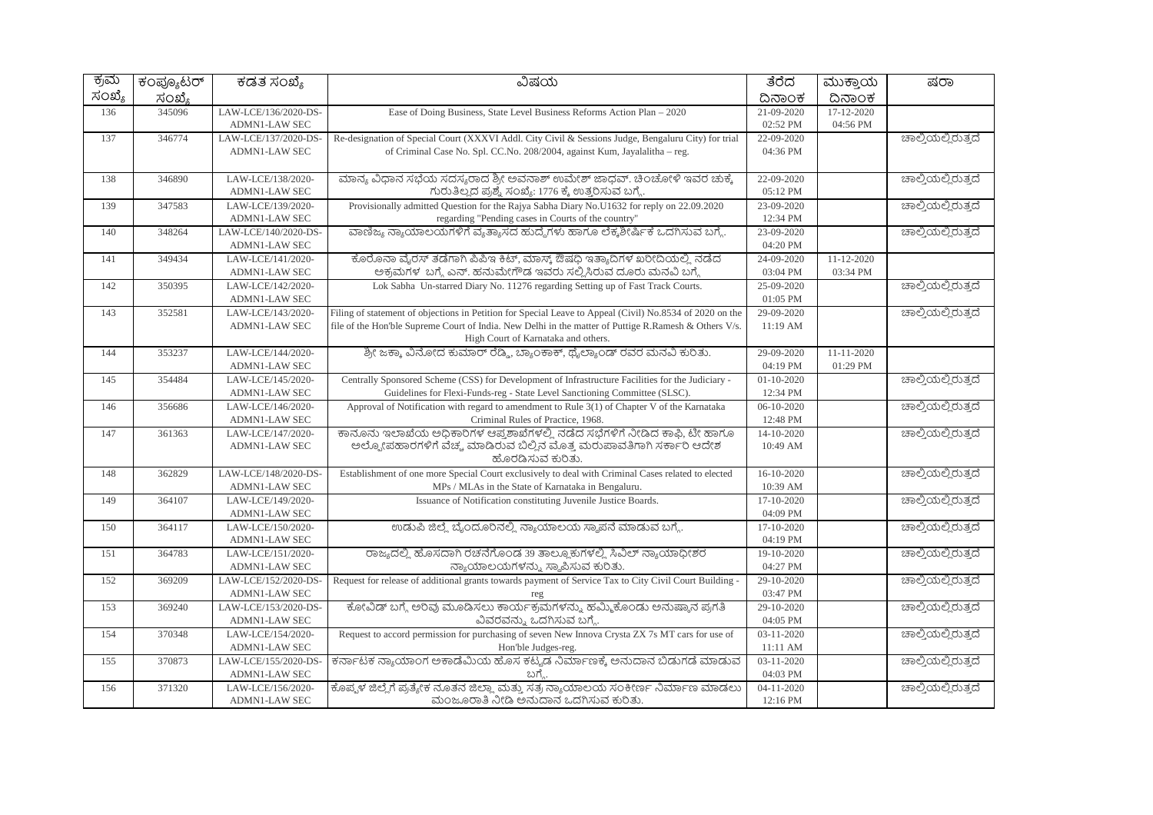| ಕ್ರಮ   | ಕಂಪ್ಯೂಟರ್ | ಕಡತ ಸಂಖ್ಯೆ                                   | ವಿಷಯ                                                                                                     | ತೆರೆದ                  | ಮುಕ್ತಾಯ    | ಷರಾ                |
|--------|-----------|----------------------------------------------|----------------------------------------------------------------------------------------------------------|------------------------|------------|--------------------|
| ಸಂಖ್ಯೆ | ಸಂಖ್ಯೆ    |                                              |                                                                                                          | ದಿನಾಂಕ                 | ದಿನಾಂಕ     |                    |
| 136    | 345096    | LAW-LCE/136/2020-DS-                         | Ease of Doing Business, State Level Business Reforms Action Plan – 2020                                  | 21-09-2020             | 17-12-2020 |                    |
|        |           | <b>ADMN1-LAW SEC</b>                         |                                                                                                          | 02:52 PM               | 04:56 PM   |                    |
| 137    | 346774    | LAW-LCE/137/2020-DS-                         | Re-designation of Special Court (XXXVI Addl. City Civil & Sessions Judge, Bengaluru City) for trial      | 22-09-2020             |            | ಚಾಲ್ಲಿಯಲ್ಲಿರುತ್ತದೆ |
|        |           | ADMN1-LAW SEC                                | of Criminal Case No. Spl. CC.No. 208/2004, against Kum, Jayalalitha - reg.                               | 04:36 PM               |            |                    |
|        |           |                                              |                                                                                                          |                        |            |                    |
| 138    | 346890    | LAW-LCE/138/2020-                            | ಮಾನ್ಯ ವಿಧಾನ ಸಭೆಯ ಸದಸ್ಯರಾದ ಶ್ರೀ ಅವನಾಶ್ ಉಮೇಶ್ ಜಾಧವ್. ಚಿಂಚೋಳಿ ಇವರ ಚುಕ್ಕೆ                                    | 22-09-2020             |            | ಚಾಲ್ತಿಯಲ್ಲಿರುತ್ತದೆ |
|        |           | <b>ADMN1-LAW SEC</b>                         | ಗುರುತಿಲ್ಲದ ಪ್ರಶ್ನೆ ಸಂಖ್ಯೆ: 1776 ಕ್ಕೆ ಉತ್ತರಿಸುವ ಬಗ್ಗೆ.                                                    | 05:12 PM               |            |                    |
| 139    | 347583    | LAW-LCE/139/2020-                            | Provisionally admitted Question for the Rajya Sabha Diary No.U1632 for reply on 22.09.2020               | 23-09-2020             |            | ಚಾಲ್ತಿಯಲ್ಲಿರುತ್ತದೆ |
|        |           | <b>ADMN1-LAW SEC</b>                         | regarding "Pending cases in Courts of the country"                                                       | 12:34 PM               |            |                    |
| 140    | 348264    | LAW-LCE/140/2020-DS-                         | ವಾಣಿಜ್ಯ ನ್ಯಾಯಾಲಯಗಳಿಗೆ ವ್ಯತ್ಯಾಸದ ಹುದ್ದೆಗಳು ಹಾಗೂ ಲೆಕ್ಕಶೀರ್ಷಿಕೆ ಒದಗಿಸುವ ಬಗ್ಗೆ.                              | 23-09-2020             |            | ಚಾಲ್ತಿಯಲ್ಲಿರುತ್ತದೆ |
|        |           | <b>ADMN1-LAW SEC</b>                         |                                                                                                          | 04:20 PM               |            |                    |
| 141    | 349434    | LAW-LCE/141/2020-                            | ಕೊರೊನಾ ವೈರಸ್ ತಡೆಗಾಗಿ ಪಿಪಿಇ ಕಿಟ್, ಮಾಸ್ಕ್ ಔಷಧಿ ಇತ್ಯಾದಿಗಳ ಖರೀದಿಯಲ್ಲಿ ನಡೆದ                                   | 24-09-2020             | 11-12-2020 |                    |
|        |           | <b>ADMN1-LAW SEC</b>                         | ಅಕ್ರಮಗಳ ಬಗ್ಗೆ ಎನ್. ಹನುಮೇಗೌಡ ಇವರು ಸಲ್ಲಿಸಿರುವ ದೂರು ಮನವಿ ಬಗ್ಗೆ                                              | 03:04 PM               | 03:34 PM   |                    |
| 142    | 350395    | LAW-LCE/142/2020-                            | Lok Sabha Un-starred Diary No. 11276 regarding Setting up of Fast Track Courts.                          | 25-09-2020             |            | ಚಾಲ್ತಿಯಲ್ಲಿರುತ್ತದೆ |
|        | 352581    | <b>ADMN1-LAW SEC</b>                         | Filing of statement of objections in Petition for Special Leave to Appeal (Civil) No.8534 of 2020 on the | 01:05 PM               |            | ಚಾಲ್ಲಿಯಲ್ಲಿರುತ್ತದೆ |
| 143    |           | LAW-LCE/143/2020-<br><b>ADMN1-LAW SEC</b>    | file of the Hon'ble Supreme Court of India. New Delhi in the matter of Puttige R.Ramesh & Others V/s.    | 29-09-2020<br>11:19AM  |            |                    |
|        |           |                                              | High Court of Karnataka and others.                                                                      |                        |            |                    |
| 144    | 353237    | LAW-LCE/144/2020-                            | ಶ್ರೀ ಜಕ್ಕಾ ವಿನೋದ ಕುಮಾರ್ ರೆಡ್ಡಿ, ಬ್ಯಾಂಕಾಕ್, ಥೈಲ್ಯಾಂಡ್ ರವರ ಮನವಿ ಕುರಿತು.                                    | 29-09-2020             | 11-11-2020 |                    |
|        |           | <b>ADMN1-LAW SEC</b>                         |                                                                                                          | 04:19 PM               | 01:29 PM   |                    |
| 145    | 354484    | LAW-LCE/145/2020-                            | Centrally Sponsored Scheme (CSS) for Development of Infrastructure Facilities for the Judiciary -        | $01 - 10 - 2020$       |            | ಚಾಲ್ತಿಯಲ್ಲಿರುತ್ತದೆ |
|        |           | <b>ADMN1-LAW SEC</b>                         | Guidelines for Flexi-Funds-reg - State Level Sanctioning Committee (SLSC).                               | 12:34 PM               |            |                    |
| 146    | 356686    | LAW-LCE/146/2020-                            | Approval of Notification with regard to amendment to Rule 3(1) of Chapter V of the Karnataka             | 06-10-2020             |            | ಚಾಲ್ಲಿಯಲ್ಲಿರುತ್ತದೆ |
|        |           | <b>ADMN1-LAW SEC</b>                         | Criminal Rules of Practice, 1968.                                                                        | 12:48 PM               |            |                    |
| 147    | 361363    | LAW-LCE/147/2020-                            | ಕಾನೂನು ಇಲಾಖೆಯ ಅಧಿಕಾರಿಗಳ ಆಪ್ತಶಾಖೆಗಳಲ್ಲಿ ನಡೆದ ಸಭೆಗಳಿಗೆ ನೀಡಿದ ಕಾಫಿ, ಟೀ ಹಾಗೂ                                 | 14-10-2020             |            | ಚಾಲ್ಲಿಯಲ್ಲಿರುತ್ತದೆ |
|        |           | <b>ADMN1-LAW SEC</b>                         | ಅಲ್ಯೋಪಹಾರಗಳಿಗೆ ವೆಚ್ಚ ಮಾಡಿರುವ ಬಿಲ್ಲಿನ ಮೊತ್ತ ಮರುಪಾವತಿಗಾಗಿ ಸರ್ಕಾರಿ ಆದೇಶ                                     | 10:49 AM               |            |                    |
|        |           |                                              | ಹೊರಡಿಸುವ ಕುರಿತು.                                                                                         |                        |            |                    |
| 148    | 362829    | LAW-LCE/148/2020-DS-                         | Establishment of one more Special Court exclusively to deal with Criminal Cases related to elected       | 16-10-2020             |            | ಚಾಲ್ತಿಯಲ್ಲಿರುತ್ತದೆ |
|        |           | <b>ADMN1-LAW SEC</b>                         | MPs / MLAs in the State of Karnataka in Bengaluru.                                                       | 10:39 AM               |            |                    |
| 149    | 364107    | LAW-LCE/149/2020-                            | Issuance of Notification constituting Juvenile Justice Boards.                                           | 17-10-2020             |            | ಚಾಲ್ಲಿಯಲ್ಲಿರುತ್ತದೆ |
|        |           | <b>ADMN1-LAW SEC</b>                         |                                                                                                          | 04:09 PM               |            |                    |
| 150    | 364117    | LAW-LCE/150/2020-                            | ಉಡುಪಿ ಜಿಲ್ಲೆ ಬೈಂದೂರಿನಲ್ಲಿ ನ್ಯಾಯಾಲಯ ಸ್ಥಾಪನೆ ಮಾಡುವ ಬಗ್ಗೆ.                                                  | 17-10-2020             |            | ಚಾಲ್ಲಿಯಲ್ಲಿರುತ್ತದೆ |
|        |           | <b>ADMN1-LAW SEC</b>                         |                                                                                                          | 04:19 PM               |            |                    |
| 151    | 364783    | LAW-LCE/151/2020-                            | ರಾಜ್ಯದಲ್ಲಿ ಹೊಸದಾಗಿ ರಚನೆಗೊಂಡ 39 ತಾಲ್ಲೂಕುಗಳಲ್ಲಿ ಸಿವಿಲ್ ನ್ಯಾಯಾಧೀಶರ                                          | 19-10-2020             |            | ಚಾಲ್ತಿಯಲ್ಲಿರುತ್ತದೆ |
|        |           | <b>ADMN1-LAW SEC</b>                         | ನ್ಯಾಯಾಲಯಗಳನ್ನು ಸ್ಥಾಪಿಸುವ ಕುರಿತು.                                                                         | 04:27 PM               |            |                    |
| 152    | 369209    | LAW-LCE/152/2020-DS-<br><b>ADMN1-LAW SEC</b> | Request for release of additional grants towards payment of Service Tax to City Civil Court Building     | 29-10-2020<br>03:47 PM |            | ಚಾಲ್ತಿಯಲ್ಲಿರುತ್ತದೆ |
|        | 369240    | LAW-LCE/153/2020-DS-                         | reg<br>ಕೋವಿಡ್ ಬಗ್ಗೆ ಅರಿವು ಮೂಡಿಸಲು ಕಾರ್ಯಕ್ರಮಗಳನ್ನು ಹಮ್ಮಿಕೊಂಡು ಅನುಷ್ಠಾನ ಪ್ರಗತಿ                             | 29-10-2020             |            | ಚಾಲ್ತಿಯಲ್ಲಿರುತ್ತದೆ |
| 153    |           | <b>ADMN1-LAW SEC</b>                         | ವಿವರವನ್ನು ಒದಗಿಸುವ ಬಗ್ಗೆ.                                                                                 | 04:05 PM               |            |                    |
| 154    | 370348    | LAW-LCE/154/2020-                            | Request to accord permission for purchasing of seven New Innova Crysta ZX 7s MT cars for use of          | 03-11-2020             |            | ಚಾಲ್ತಿಯಲ್ಲಿರುತ್ತದೆ |
|        |           | <b>ADMN1-LAW SEC</b>                         | Hon'ble Judges-reg.                                                                                      | 11:11 AM               |            |                    |
| 155    | 370873    | LAW-LCE/155/2020-DS-                         | ಕರ್ನಾಟಕ ನ್ಯಾಯಾಂಗ ಅಕಾಡೆಮಿಯ ಹೊಸ ಕಟ್ಟಡ ನಿರ್ಮಾಣಕ್ಕೆ ಅನುದಾನ ಬಿಡುಗಡೆ ಮಾಡುವ                                     | $03 - 11 - 2020$       |            | ಚಾಲ್ತಿಯಲ್ಲಿರುತ್ತದೆ |
|        |           | <b>ADMN1-LAW SEC</b>                         | ಬಗ್ಗೆ                                                                                                    | 04:03 PM               |            |                    |
| 156    | 371320    | LAW-LCE/156/2020-                            | ಕೊಪ್ಪಳ ಜಿಲ್ಲೆಗೆ ಪ್ರತ್ಯೇಕ ನೂತನ ಜಿಲ್ಲಾ ಮತ್ತು ಸತ್ರ ನ್ಯಾಯಾಲಯ ಸಂಕೀರ್ಣ ನಿರ್ಮಾಣ ಮಾಡಲು                           | $04 - 11 - 2020$       |            | ಚಾಲ್ತಿಯಲ್ಲಿರುತ್ತದೆ |
|        |           | <b>ADMN1-LAW SEC</b>                         | ಮಂಜೂರಾತಿ ನೀಡಿ ಅನುದಾನ ಒದಗಿಸುವ ಕುರಿತು.                                                                     | 12:16 PM               |            |                    |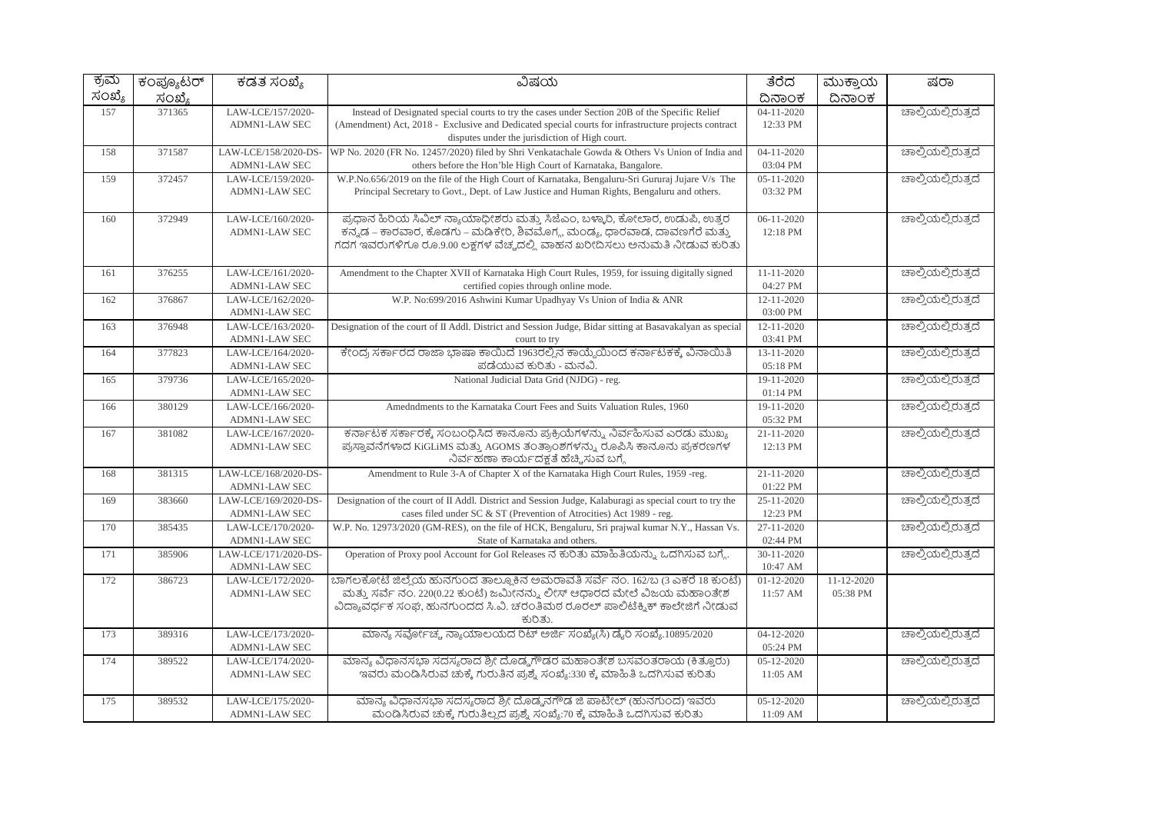| ಕ್ರಮ   | <u>ಕಂಪ್ಯೂ</u> ಟರ್ | ಕಡತ ಸಂಖ್ಯೆ           | ವಿಷಯ                                                                                                                                              | ತೆರೆದ            | ಮುಕ್ತಾಯ          | ಷರಾ                |
|--------|-------------------|----------------------|---------------------------------------------------------------------------------------------------------------------------------------------------|------------------|------------------|--------------------|
| ಸಂಖ್ಯೆ | ಸಂಖ್ಯೆ            |                      |                                                                                                                                                   | ದಿನಾಂಕ           | ದಿನಾಂಕ           |                    |
| 157    | 371365            | LAW-LCE/157/2020-    | Instead of Designated special courts to try the cases under Section 20B of the Specific Relief                                                    | $04-11-2020$     |                  | ಚಾಲ್ತಿಯಲ್ಲಿರುತ್ತದೆ |
|        |                   | <b>ADMN1-LAW SEC</b> | (Amendment) Act, 2018 - Exclusive and Dedicated special courts for infrastructure projects contract                                               | 12:33 PM         |                  |                    |
|        |                   |                      | disputes under the jurisdiction of High court.                                                                                                    |                  |                  |                    |
| 158    | 371587            | LAW-LCE/158/2020-DS- | WP No. 2020 (FR No. 12457/2020) filed by Shri Venkatachale Gowda & Others Vs Union of India and                                                   | $04 - 11 - 2020$ |                  | ಚಾಲ್ಲಿಯಲ್ಲಿರುತ್ತದೆ |
|        |                   | <b>ADMN1-LAW SEC</b> | others before the Hon'ble High Court of Karnataka, Bangalore.                                                                                     | 03:04 PM         |                  |                    |
| 159    | 372457            | LAW-LCE/159/2020-    | W.P.No.656/2019 on the file of the High Court of Karnataka, Bengaluru-Sri Gururaj Jujare V/s The                                                  | $05 - 11 - 2020$ |                  | ಚಾಲ್ಲಿಯಲ್ಲಿರುತ್ತದೆ |
|        |                   | <b>ADMN1-LAW SEC</b> | Principal Secretary to Govt., Dept. of Law Justice and Human Rights, Bengaluru and others.                                                        | 03:32 PM         |                  |                    |
|        |                   |                      |                                                                                                                                                   |                  |                  |                    |
| 160    | 372949            | LAW-LCE/160/2020-    | ಪ್ರಧಾನ ಹಿರಿಯ ಸಿವಿಲ್ ನ್ಯಾಯಾಧೀಶರು ಮತ್ತು ಸಿಜೆಎಂ, ಬಳ್ಳಾರಿ, ಕೋಲಾರ, ಉಡುಪಿ, ಉತ್ತರ                                                                        | $06 - 11 - 2020$ |                  | ಚಾಲ್ತಿಯಲ್ಲಿರುತ್ತದೆ |
|        |                   | <b>ADMN1-LAW SEC</b> | ಕನ್ನಡ – ಕಾರವಾರ, ಕೊಡಗು – ಮಡಿಕೇರಿ, ಶಿವಮೊಗ್ಗ, ಮಂಡ್ಯ, ಧಾರವಾಡ, ದಾವಣಗೆರೆ ಮತ್ತು                                                                          | 12:18 PM         |                  |                    |
|        |                   |                      | ಗದಗೆ ಇವರುಗಳಿಗೂ ರೂ.9.00 ಲಕ್ಷಗಳ ವೆಚ್ಚದಲ್ಲಿ ವಾಹನ ಖರೀದಿಸಲು ಅನುಮತಿ ನೀಡುವ ಕುರಿತು                                                                        |                  |                  |                    |
|        |                   |                      |                                                                                                                                                   |                  |                  |                    |
| 161    | 376255            | LAW-LCE/161/2020-    | Amendment to the Chapter XVII of Karnataka High Court Rules, 1959, for issuing digitally signed                                                   | 11-11-2020       |                  | ಚಾಲ್ಲಿಯಲ್ಲಿರುತ್ತದೆ |
|        |                   | <b>ADMN1-LAW SEC</b> | certified copies through online mode.                                                                                                             | 04:27 PM         |                  |                    |
| 162    | 376867            | LAW-LCE/162/2020-    | W.P. No:699/2016 Ashwini Kumar Upadhyay Vs Union of India & ANR                                                                                   | 12-11-2020       |                  | ಚಾಲ್ಲಿಯಲ್ಲಿರುತ್ತದೆ |
|        |                   | <b>ADMN1-LAW SEC</b> |                                                                                                                                                   | 03:00 PM         |                  |                    |
| 163    | 376948            | LAW-LCE/163/2020-    | Designation of the court of II Addl. District and Session Judge, Bidar sitting at Basavakalyan as special                                         | 12-11-2020       |                  | ಚಾಲ್ಲಿಯಲ್ಲಿರುತ್ತದೆ |
|        |                   | <b>ADMN1-LAW SEC</b> | court to try                                                                                                                                      | 03:41 PM         |                  |                    |
| 164    | 377823            | LAW-LCE/164/2020-    | ಕೇಂದ್ರ ಸರ್ಕಾರದ ರಾಜಾ ಭಾಷಾ ಕಾಯಿದೆ 1963ರಲ್ಲಿನ ಕಾಯ್ದೆಯಿಂದ ಕರ್ನಾಟಕಕ್ಕೆ ವಿನಾಯಿತಿ                                                                        | 13-11-2020       |                  | ಚಾಲ್ಲಿಯಲ್ಲಿರುತ್ತದೆ |
|        |                   | ADMN1-LAW SEC        | ಪಡೆಯುವ ಕುರಿತು - ಮನವಿ.                                                                                                                             | 05:18 PM         |                  |                    |
| 165    | 379736            | LAW-LCE/165/2020-    | National Judicial Data Grid (NJDG) - reg.                                                                                                         | 19-11-2020       |                  | ಚಾಲ್ತಿಯಲ್ಲಿರುತ್ತದೆ |
|        |                   | ADMN1-LAW SEC        |                                                                                                                                                   | 01:14 PM         |                  |                    |
| 166    | 380129            | LAW-LCE/166/2020-    | Amedndments to the Karnataka Court Fees and Suits Valuation Rules, 1960                                                                           | 19-11-2020       |                  | ಚಾಲ್ಲಿಯಲ್ಲಿರುತ್ತದೆ |
|        |                   | <b>ADMN1-LAW SEC</b> |                                                                                                                                                   | 05:32 PM         |                  |                    |
| 167    | 381082            | LAW-LCE/167/2020-    | ಕರ್ನಾಟಕ ಸರ್ಕಾರಕ್ಕೆ ಸಂಬಂಧಿಸಿದ ಕಾನೂನು ಪ್ರಕ್ರಿಯೆಗಳನ್ನು ನಿರ್ವಹಿಸುವ ಎರಡು ಮುಖ್ಯ                                                                         | 21-11-2020       |                  | ಚಾಲ್ತಿಯಲ್ಲಿರುತ್ತದೆ |
|        |                   | <b>ADMN1-LAW SEC</b> | ಪ್ರಸ್ತಾವನೆಗಳಾದ KiGLiMS ಮತ್ತು AGOMS ತಂತ್ರಾಂಶಗಳನ್ನು ರೂಪಿಸಿ ಕಾನೂನು ಪ್ರಕರಣಗಳ                                                                          | 12:13 PM         |                  |                    |
|        |                   |                      | ನಿರ್ವಹಣಾ ಕಾರ್ಯದಕ್ಷತೆ ಹೆಚ್ಚಿಸುವ ಬಗ್ಗೆ                                                                                                              |                  |                  |                    |
| 168    | 381315            | LAW-LCE/168/2020-DS- | Amendment to Rule 3-A of Chapter X of the Karnataka High Court Rules, 1959 -reg.                                                                  | 21-11-2020       |                  | ಚಾಲ್ತಿಯಲ್ಲಿರುತ್ತದೆ |
|        |                   | <b>ADMN1-LAW SEC</b> |                                                                                                                                                   | 01:22 PM         |                  |                    |
| 169    | 383660            | LAW-LCE/169/2020-DS- | Designation of the court of II Addl. District and Session Judge, Kalaburagi as special court to try the                                           | 25-11-2020       |                  | ಚಾಲ್ತಿಯಲ್ಲಿರುತ್ತದೆ |
|        |                   | <b>ADMN1-LAW SEC</b> | cases filed under SC & ST (Prevention of Atrocities) Act 1989 - reg.                                                                              | 12:23 PM         |                  |                    |
| 170    | 385435            | LAW-LCE/170/2020-    | W.P. No. 12973/2020 (GM-RES), on the file of HCK, Bengaluru, Sri prajwal kumar N.Y., Hassan Vs.                                                   | 27-11-2020       |                  | ಚಾಲ್ತಿಯಲ್ಲಿರುತ್ತದೆ |
|        |                   | <b>ADMN1-LAW SEC</b> | State of Karnataka and others.                                                                                                                    | 02:44 PM         |                  |                    |
| 171    | 385906            | LAW-LCE/171/2020-DS- | Operation of Proxy pool Account for GoI Releases ನ ಕುರಿತು ಮಾಹಿತಿಯನ್ನು ಒದಗಿಸುವ ಬಗ್ಗೆ.                                                              | 30-11-2020       |                  | ಚಾಲ್ತಿಯಲ್ಲಿರುತ್ತದೆ |
|        |                   | <b>ADMN1-LAW SEC</b> |                                                                                                                                                   | 10:47 AM         |                  |                    |
| 172    | 386723            | LAW-LCE/172/2020-    | ಬಾಗಲಕೋಟೆ ಜಿಲ್ಲೆಯ ಹುನಗುಂದ ತಾಲ್ಲೂಕಿನ ಅಮರಾವತಿ ಸರ್ವೆ ನಂ. 162/ಬ (3 ಎಕರೆ 18 ಕುಂಟೆ)                                                                      | $01 - 12 - 2020$ | $11 - 12 - 2020$ |                    |
|        |                   | <b>ADMN1-LAW SEC</b> | ಮತ್ತು ಸರ್ವೆ ನಂ. 220(0.22 ಕುಂಟೆ) ಜಮೀನನ್ನು ಲೀಸ್ ಆಧಾರದ ಮೇಲೆ ವಿಜಯ ಮಹಾಂತೇಶ                                                                             | 11:57 AM         | 05:38 PM         |                    |
|        |                   |                      | ವಿದ್ಯಾವರ್ಧಕ ಸಂಘ, ಹುನಗುಂದದ ಸಿ.ವಿ. ಚರಂತಿಮಠ ರೂರಲ್ ಪಾಲಿಟೆಕ್ಕಿಕ್ ಕಾಲೇಜಿಗೆ ನೀಡುವ                                                                        |                  |                  |                    |
|        |                   |                      | ಕುರಿತು.                                                                                                                                           |                  |                  |                    |
| 173    | 389316            | LAW-LCE/173/2020-    | ಮಾನ್ಯ ಸರ್ವೋಚ್ಚ ನ್ಯಾಯಾಲಯದ ರಿಟ್ ಅರ್ಜಿ ಸಂಖ್ಯೆ(ಸಿ) ಡೈರಿ ಸಂಖ್ಯೆ.10895/2020                                                                             | $04 - 12 - 2020$ |                  | ಚಾಲ್ತಿಯಲ್ಲಿರುತ್ತದೆ |
|        |                   | <b>ADMN1-LAW SEC</b> |                                                                                                                                                   | 05:24 PM         |                  |                    |
| 174    | 389522            | LAW-LCE/174/2020-    | ಮಾನ್ಯ ವಿಧಾನಸಭಾ ಸದಸ್ಯರಾದ ಶ್ರೀ ದೊಡ್ಡಗೌಡರ ಮಹಾಂತೇಶ ಬಸವಂತರಾಯ (ಕಿತ್ತೂರು)<br>ಇವರು ಮಂಡಿಸಿರುವ ಚುಕ್ಕೆ ಗುರುತಿನ ಪ್ರಶ್ನೆ ಸಂಖ್ಯೆ:330 ಕ್ಕೆ ಮಾಹಿತಿ ಒದಗಿಸುವ ಕುರಿತು | 05-12-2020       |                  | ಚಾಲ್ತಿಯಲ್ಲಿರುತ್ತದೆ |
|        |                   | <b>ADMN1-LAW SEC</b> |                                                                                                                                                   | 11:05 AM         |                  |                    |
| 175    | 389532            | LAW-LCE/175/2020-    | ಮಾನ್ಯ ವಿಧಾನಸಭಾ ಸದಸ್ಯರಾದ ಶ್ರೀ ದೊಡ್ಡನಗೌಡ ಜಿ ಪಾಟೀಲ್ (ಹುನಗುಂದ) ಇವರು                                                                                   | $05 - 12 - 2020$ |                  | ಚಾಲ್ತಿಯಲ್ಲಿರುತ್ತದೆ |
|        |                   | <b>ADMN1-LAW SEC</b> | ಮಂಡಿಸಿರುವ ಚುಕ್ಕೆ ಗುರುತಿಲ್ಲದ ಪ್ರಶ್ನೆ ಸಂಖ್ಯೆ:70 ಕ್ಕೆ ಮಾಹಿತಿ ಒದಗಿಸುವ ಕುರಿತು                                                                          | 11:09 AM         |                  |                    |
|        |                   |                      |                                                                                                                                                   |                  |                  |                    |